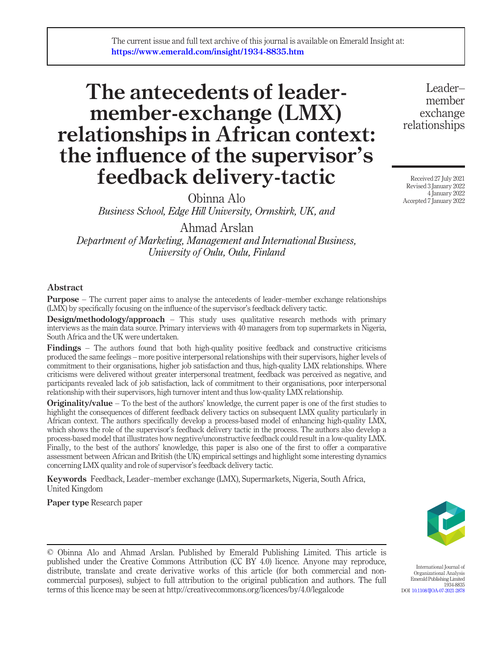# The antecedents of leadermember-exchange (LMX) relationships in African context: the influence of the supervisor's feedback delivery-tactic

Obinna Alo

Business School, Edge Hill University, Ormskirk, UK, and

Ahmad Arslan

Department of Marketing, Management and International Business, University of Oulu, Oulu, Finland

### Abstract

**Purpose** – The current paper aims to analyse the antecedents of leader–member exchange relationships (LMX) by specifically focusing on the influence of the supervisor's feedback delivery tactic.

**Design/methodology/approach** – This study uses qualitative research methods with primary interviews as the main data source. Primary interviews with 40 managers from top supermarkets in Nigeria, South Africa and the UK were undertaken.

Findings – The authors found that both high-quality positive feedback and constructive criticisms produced the same feelings – more positive interpersonal relationships with their supervisors, higher levels of commitment to their organisations, higher job satisfaction and thus, high-quality LMX relationships. Where criticisms were delivered without greater interpersonal treatment, feedback was perceived as negative, and participants revealed lack of job satisfaction, lack of commitment to their organisations, poor interpersonal relationship with their supervisors, high turnover intent and thus low-quality LMX relationship.

**Originality/value** – To the best of the authors' knowledge, the current paper is one of the first studies to highlight the consequences of different feedback delivery tactics on subsequent LMX quality particularly in African context. The authors specifically develop a process-based model of enhancing high-quality LMX, which shows the role of the supervisor's feedback delivery tactic in the process. The authors also develop a process-based model that illustrates how negative/unconstructive feedback could result in a low-quality LMX. Finally, to the best of the authors' knowledge, this paper is also one of the first to offer a comparative assessment between African and British (the UK) empirical settings and highlight some interesting dynamics concerning LMX quality and role of supervisor's feedback delivery tactic.

Keywords Feedback, Leader–member exchange (LMX), Supermarkets, Nigeria, South Africa, United Kingdom

Paper type Research paper

© Obinna Alo and Ahmad Arslan. Published by Emerald Publishing Limited. This article is published under the Creative Commons Attribution (CC BY 4.0) licence. Anyone may reproduce, distribute, translate and create derivative works of this article (for both commercial and noncommercial purposes), subject to full attribution to the original publication and authors. The full terms of this licence may be seen at http://creativecommons.org/licences/by/4.0/legalcode

Leader– member exchange relationships

Received 27 July 2021 Revised 3 January 2022 4 January 2022 Accepted 7 January 2022



International Journal of

Organizational Analysis Emerald Publishing Limited 1934-8835 DOI [10.1108/IJOA-07-2021-2878](http://dx.doi.org/10.1108/IJOA-07-2021-2878)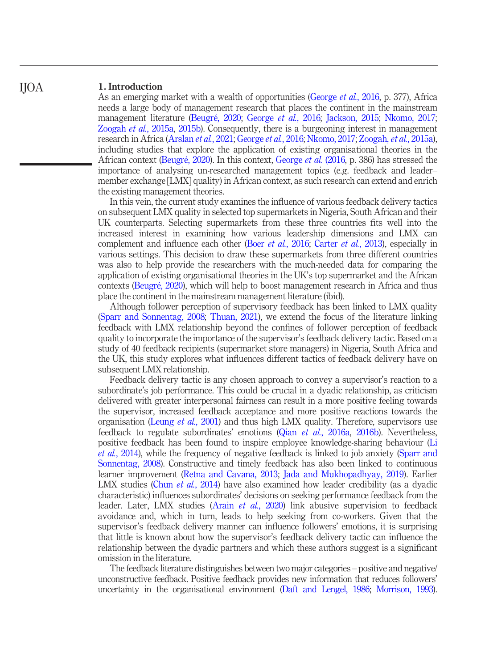#### 1. Introduction IJOA

As an emerging market with a wealth of opportunities ([George](#page-21-0) *et al.*, 2016, p. 377), Africa needs a large body of management research that places the continent in the mainstream management literature [\(Beugré, 2020](#page-20-0); [George](#page-21-0) et al., 2016; [Jackson, 2015](#page-22-0); [Nkomo, 2017;](#page-24-0) [Zoogah](#page-26-0) et al., 2015a, [2015b](#page-26-1)). Consequently, there is a burgeoning interest in management research in Africa [\(Arslan](#page-19-0) et al., 2021; [George](#page-21-0) et al., 2016; [Nkomo, 2017;](#page-24-0) [Zoogah,](#page-26-0) et al., 2015a), including studies that explore the application of existing organisational theories in the African context [\(Beugré, 2020\)](#page-20-0). In this context, [George](#page-21-0) et al. (2016, p. 386) has stressed the importance of analysing un-researched management topics (e.g. feedback and leader– member exchange [LMX] quality) in African context, as such research can extend and enrich the existing management theories.

In this vein, the current study examines the influence of various feedback delivery tactics on subsequent LMX quality in selected top supermarkets in Nigeria, South African and their UK counterparts. Selecting supermarkets from these three countries fits well into the increased interest in examining how various leadership dimensions and LMX can complement and influence each other (Boer *et al.*[, 2016](#page-20-1); [Carter](#page-20-2) *et al.*, 2013), especially in various settings. This decision to draw these supermarkets from three different countries was also to help provide the researchers with the much-needed data for comparing the application of existing organisational theories in the UK's top supermarket and the African contexts ([Beugré, 2020](#page-20-0)), which will help to boost management research in Africa and thus place the continent in the mainstream management literature (ibid).

Although follower perception of supervisory feedback has been linked to LMX quality [\(Sparr and Sonnentag, 2008](#page-25-0); [Thuan, 2021\)](#page-25-1), we extend the focus of the literature linking feedback with LMX relationship beyond the confines of follower perception of feedback quality to incorporate the importance of the supervisor's feedback delivery tactic. Based on a study of 40 feedback recipients (supermarket store managers) in Nigeria, South Africa and the UK, this study explores what influences different tactics of feedback delivery have on subsequent LMX relationship.

Feedback delivery tactic is any chosen approach to convey a supervisor's reaction to a subordinate's job performance. This could be crucial in a dyadic relationship, as criticism delivered with greater interpersonal fairness can result in a more positive feeling towards the supervisor, increased feedback acceptance and more positive reactions towards the organisation [\(Leung](#page-23-0) *et al.*, 2001) and thus high LMX quality. Therefore, supervisors use feedback to regulate subordinates' emotions (Qian et al.[, 2016a,](#page-25-2) [2016b](#page-25-3)). Nevertheless, positive feedback has been found to inspire employee knowledge-sharing behaviour [\(Li](#page-23-1) et al.[, 2014\)](#page-23-1), while the frequency of negative feedback is linked to job anxiety [\(Sparr and](#page-25-0) [Sonnentag, 2008](#page-25-0)). Constructive and timely feedback has also been linked to continuous learner improvement ([Retna and Cavana, 2013;](#page-25-4) [Jada and Mukhopadhyay, 2019\)](#page-22-1). Earlier LMX studies (Chun *et al.*[, 2014\)](#page-21-1) have also examined how leader credibility (as a dyadic characteristic) influences subordinates' decisions on seeking performance feedback from the leader. Later, LMX studies (Arain et al.[, 2020\)](#page-19-1) link abusive supervision to feedback avoidance and, which in turn, leads to help seeking from co-workers. Given that the supervisor's feedback delivery manner can influence followers' emotions, it is surprising that little is known about how the supervisor's feedback delivery tactic can influence the relationship between the dyadic partners and which these authors suggest is a significant omission in the literature.

The feedback literature distinguishes between two major categories – positive and negative/ unconstructive feedback. Positive feedback provides new information that reduces followers' uncertainty in the organisational environment [\(Daft and Lengel, 1986](#page-21-2); [Morrison, 1993\)](#page-24-1).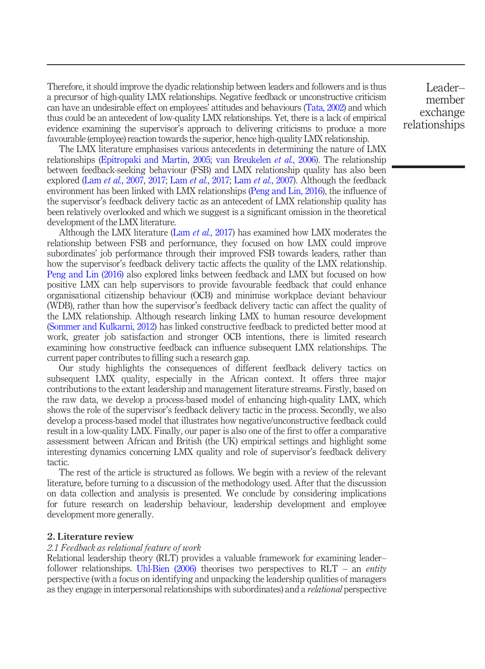Therefore, it should improve the dyadic relationship between leaders and followers and is thus a precursor of high-quality LMX relationships. Negative feedback or unconstructive criticism can have an undesirable effect on employees' attitudes and behaviours [\(Tata, 2002\)](#page-25-5) and which thus could be an antecedent of low-quality LMX relationships. Yet, there is a lack of empirical evidence examining the supervisor's approach to delivering criticisms to produce a more favourable (employee) reaction towards the superior, hence high-quality LMX relationship.

The LMX literature emphasises various antecedents in determining the nature of LMX relationships ([Epitropaki and Martin, 2005](#page-21-3); [van Breukelen](#page-25-6) et al., 2006). The relationship between feedback-seeking behaviour (FSB) and LMX relationship quality has also been explored (Lam et al.[, 2007](#page-23-2), [2017;](#page-23-3) Lam et al.[, 2017;](#page-23-3) Lam et al.[, 2007\)](#page-23-2). Although the feedback environment has been linked with LMX relationships [\(Peng and Lin, 2016](#page-24-2)), the influence of the supervisor's feedback delivery tactic as an antecedent of LMX relationship quality has been relatively overlooked and which we suggest is a significant omission in the theoretical development of the LMX literature.

Although the LMX literature (Lam et al.[, 2017\)](#page-23-3) has examined how LMX moderates the relationship between FSB and performance, they focused on how LMX could improve subordinates' job performance through their improved FSB towards leaders, rather than how the supervisor's feedback delivery tactic affects the quality of the LMX relationship. [Peng and Lin \(2016\)](#page-24-2) also explored links between feedback and LMX but focused on how positive LMX can help supervisors to provide favourable feedback that could enhance organisational citizenship behaviour (OCB) and minimise workplace deviant behaviour (WDB), rather than how the supervisor's feedback delivery tactic can affect the quality of the LMX relationship. Although research linking LMX to human resource development [\(Sommer and Kulkarni, 2012](#page-25-7)) has linked constructive feedback to predicted better mood at work, greater job satisfaction and stronger OCB intentions, there is limited research examining how constructive feedback can influence subsequent LMX relationships. The current paper contributes to filling such a research gap.

Our study highlights the consequences of different feedback delivery tactics on subsequent LMX quality, especially in the African context. It offers three major contributions to the extant leadership and management literature streams. Firstly, based on the raw data, we develop a process-based model of enhancing high-quality LMX, which shows the role of the supervisor's feedback delivery tactic in the process. Secondly, we also develop a process-based model that illustrates how negative/unconstructive feedback could result in a low-quality LMX. Finally, our paper is also one of the first to offer a comparative assessment between African and British (the UK) empirical settings and highlight some interesting dynamics concerning LMX quality and role of supervisor's feedback delivery tactic.

The rest of the article is structured as follows. We begin with a review of the relevant literature, before turning to a discussion of the methodology used. After that the discussion on data collection and analysis is presented. We conclude by considering implications for future research on leadership behaviour, leadership development and employee development more generally.

#### 2. Literature review

#### 2.1 Feedback as relational feature of work

Relational leadership theory (RLT) provides a valuable framework for examining leader– follower relationships. Uhl-Bien  $(2006)$  theorises two perspectives to RLT – an *entity* perspective (with a focus on identifying and unpacking the leadership qualities of managers as they engage in interpersonal relationships with subordinates) and a *relational* perspective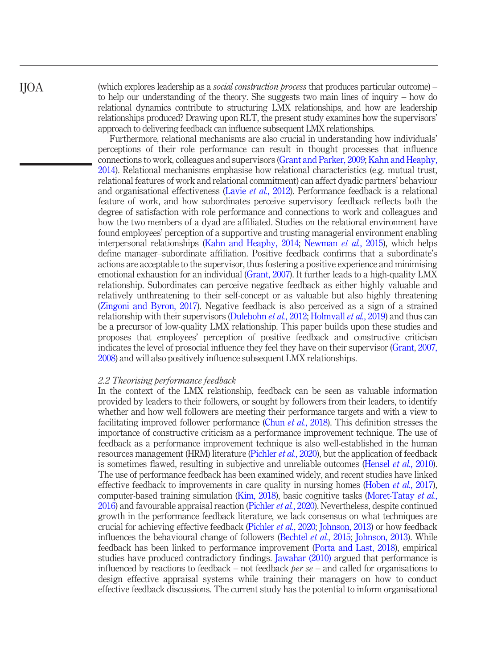(which explores leadership as a *social construction process* that produces particular outcome) – to help our understanding of the theory. She suggests two main lines of inquiry – how do relational dynamics contribute to structuring LMX relationships, and how are leadership relationships produced? Drawing upon RLT, the present study examines how the supervisors' approach to delivering feedback can influence subsequent LMX relationships.

Furthermore, relational mechanisms are also crucial in understanding how individuals' perceptions of their role performance can result in thought processes that influence connections to work, colleagues and supervisors [\(Grant and Parker, 2009](#page-22-2); [Kahn and Heaphy,](#page-22-3) [2014](#page-22-3)). Relational mechanisms emphasise how relational characteristics (e.g. mutual trust, relational features of work and relational commitment) can affect dyadic partners' behaviour and organisational effectiveness (Lavie et al.[, 2012](#page-23-4)). Performance feedback is a relational feature of work, and how subordinates perceive supervisory feedback reflects both the degree of satisfaction with role performance and connections to work and colleagues and how the two members of a dyad are affiliated. Studies on the relational environment have found employees' perception of a supportive and trusting managerial environment enabling interpersonal relationships ([Kahn and Heaphy, 2014;](#page-22-3) [Newman](#page-24-3) *et al.*, 2015), which helps define manager–subordinate affiliation. Positive feedback confirms that a subordinate's actions are acceptable to the supervisor, thus fostering a positive experience and minimising emotional exhaustion for an individual [\(Grant, 2007\)](#page-22-4). It further leads to a high-quality LMX relationship. Subordinates can perceive negative feedback as either highly valuable and relatively unthreatening to their self-concept or as valuable but also highly threatening [\(Zingoni and Byron, 2017\)](#page-26-2). Negative feedback is also perceived as a sign of a strained relationship with their supervisors [\(Dulebohn](#page-21-4) et al., 2012; [Holmvall](#page-22-5) et al., 2019) and thus can be a precursor of low-quality LMX relationship. This paper builds upon these studies and proposes that employees' perception of positive feedback and constructive criticism indicates the level of prosocial influence they feel they have on their supervisor [\(Grant](#page-22-4), [2007,](#page-22-6) [2008](#page-22-6)) and will also positively influence subsequent LMX relationships.

#### 2.2 Theorising performance feedback

In the context of the LMX relationship, feedback can be seen as valuable information provided by leaders to their followers, or sought by followers from their leaders, to identify whether and how well followers are meeting their performance targets and with a view to facilitating improved follower performance (Chun *et al.*[, 2018](#page-20-3)). This definition stresses the importance of constructive criticism as a performance improvement technique. The use of feedback as a performance improvement technique is also well-established in the human resources management (HRM) literature [\(Pichler](#page-24-4) et al., 2020), but the application of feedback is sometimes flawed, resulting in subjective and unreliable outcomes [\(Hensel](#page-22-7) *et al.*, 2010). The use of performance feedback has been examined widely, and recent studies have linked effective feedback to improvements in care quality in nursing homes [\(Hoben](#page-22-8) et al., 2017), computer-based training simulation ([Kim, 2018\)](#page-23-5), basic cognitive tasks ([Moret-Tatay](#page-24-5) *et al.*, [2016](#page-24-5)) and favourable appraisal reaction ([Pichler](#page-24-4) *et al.*, 2020). Nevertheless, despite continued growth in the performance feedback literature, we lack consensus on what techniques are crucial for achieving effective feedback ([Pichler](#page-24-4) et al., 2020; [Johnson, 2013\)](#page-22-9) or how feedback influences the behavioural change of followers ([Bechtel](#page-20-4) et al., 2015; [Johnson, 2013\)](#page-22-9). While feedback has been linked to performance improvement [\(Porta and Last, 2018\)](#page-24-6), empirical studies have produced contradictory findings. [Jawahar \(2010\)](#page-22-10) argued that performance is influenced by reactions to feedback – not feedback *per se* – and called for organisations to design effective appraisal systems while training their managers on how to conduct effective feedback discussions. The current study has the potential to inform organisational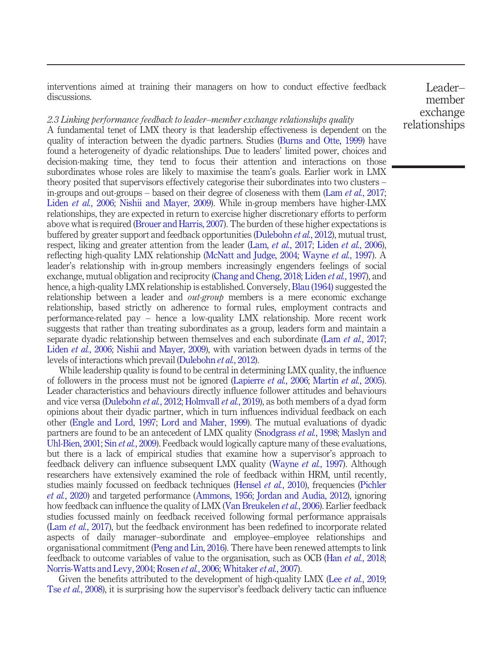interventions aimed at training their managers on how to conduct effective feedback discussions.

2.3 Linking performance feedback to leader–member exchange relationships quality

A fundamental tenet of LMX theory is that leadership effectiveness is dependent on the quality of interaction between the dyadic partners. Studies ([Burns and Otte, 1999\)](#page-20-5) have found a heterogeneity of dyadic relationships. Due to leaders' limited power, choices and decision-making time, they tend to focus their attention and interactions on those subordinates whose roles are likely to maximise the team's goals. Earlier work in LMX theory posited that supervisors effectively categorise their subordinates into two clusters – in-groups and out-groups – based on their degree of closeness with them  $(Lam et al., 2017;$  $(Lam et al., 2017;$  $(Lam et al., 2017;$ Liden et al.[, 2006](#page-23-6); [Nishii and Mayer, 2009\)](#page-24-7). While in-group members have higher-LMX relationships, they are expected in return to exercise higher discretionary efforts to perform above what is required [\(Brouer and Harris, 2007\)](#page-20-6). The burden of these higher expectations is buffered by greater support and feedback opportunities [\(Dulebohn](#page-21-4) et al., 2012), mutual trust, respect, liking and greater attention from the leader (Lam, et al.[, 2017;](#page-23-3) Liden et al.[, 2006\)](#page-23-6), reflecting high-quality LMX relationship ([McNatt and Judge, 2004;](#page-24-8) [Wayne](#page-26-3) *et al.*, 1997). A leader's relationship with in-group members increasingly engenders feelings of social exchange, mutual obligation and reciprocity ([Chang and Cheng, 2018](#page-20-7); [Liden](#page-23-7) et al., 1997), and hence, a high-quality LMX relationship is established. Conversely, [Blau \(1964\)](#page-20-8) suggested the relationship between a leader and *out-group* members is a mere economic exchange relationship, based strictly on adherence to formal rules, employment contracts and performance-related pay – hence a low-quality LMX relationship. More recent work suggests that rather than treating subordinates as a group, leaders form and maintain a separate dyadic relationship between themselves and each subordinate (Lam *et al.*[, 2017](#page-23-3); Liden *et al.*[, 2006;](#page-23-6) [Nishii and Mayer, 2009](#page-24-7)), with variation between dyads in terms of the levels of interactions which prevail [\(Dulebohn](#page-21-4) et al., 2012).

While leadership quality is found to be central in determining LMX quality, the influence of followers in the process must not be ignored [\(Lapierre](#page-23-8) *et al.*, 2006; [Martin](#page-24-9) *et al.*, 2005). Leader characteristics and behaviours directly influence follower attitudes and behaviours and vice versa ([Dulebohn](#page-21-4) *et al.*, 2012; [Holmvall](#page-22-5) *et al.*, 2019), as both members of a dyad form opinions about their dyadic partner, which in turn influences individual feedback on each other ([Engle and Lord, 1997;](#page-21-5) [Lord and Maher, 1999\)](#page-24-10). The mutual evaluations of dyadic partners are found to be an antecedent of LMX quality [\(Snodgrass](#page-25-9) et al., 1998; [Maslyn and](#page-24-11) [Uhl-Bien, 2001;](#page-24-11) Sin *et al.*[, 2009](#page-25-10)). Feedback would logically capture many of these evaluations, but there is a lack of empirical studies that examine how a supervisor's approach to feedback delivery can influence subsequent LMX quality ([Wayne](#page-26-3) et al., 1997). Although researchers have extensively examined the role of feedback within HRM, until recently, studies mainly focussed on feedback techniques [\(Hensel](#page-22-7) et al., 2010), frequencies ([Pichler](#page-24-4) et al.[, 2020\)](#page-24-4) and targeted performance [\(Ammons, 1956;](#page-19-2) [Jordan and Audia, 2012](#page-22-11)), ignoring how feedback can influence the quality of LMX ([Van Breukelen](#page-25-6) *et al.*, 2006). Earlier feedback studies focussed mainly on feedback received following formal performance appraisals (Lam et al.[, 2017\)](#page-23-3), but the feedback environment has been redefined to incorporate related aspects of daily manager–subordinate and employee–employee relationships and organisational commitment [\(Peng and Lin, 2016](#page-24-2)). There have been renewed attempts to link feedback to outcome variables of value to the organisation, such as OCB (Han *et al.*[, 2018](#page-22-12); [Norris-Watts and Levy, 2004;](#page-24-12) [Rosen](#page-25-11) et al., 2006; [Whitaker](#page-26-4) et al., 2007).

Given the benefits attributed to the development of high-quality LMX (Lee *et al.*[, 2019](#page-23-9); Tse et al.[, 2008](#page-25-12)), it is surprising how the supervisor's feedback delivery tactic can influence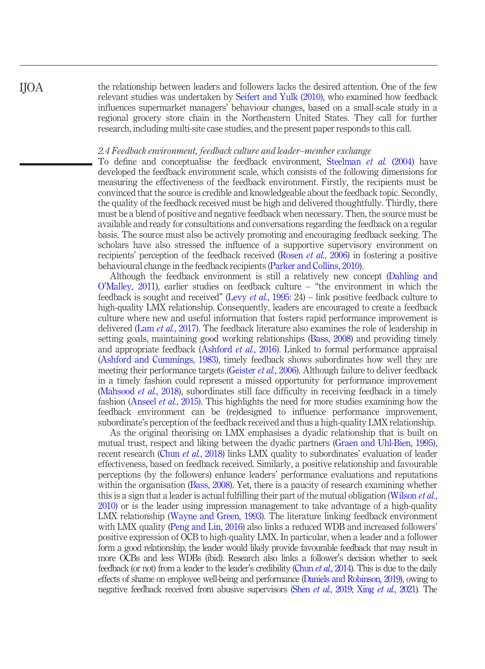the relationship between leaders and followers lacks the desired attention. One of the few relevant studies was undertaken by [Seifert and Yulk \(2010\),](#page-25-13) who examined how feedback influences supermarket managers' behaviour changes, based on a small-scale study in a regional grocery store chain in the Northeastern United States. They call for further research, including multi-site case studies, and the present paper responds to this call.

#### 2.4 Feedback environment, feedback culture and leader–member exchange

To define and conceptualise the feedback environment, [Steelman](#page-25-14) *et al.* (2004) have developed the feedback environment scale, which consists of the following dimensions for measuring the effectiveness of the feedback environment. Firstly, the recipients must be convinced that the source is credible and knowledgeable about the feedback topic. Secondly, the quality of the feedback received must be high and delivered thoughtfully. Thirdly, there must be a blend of positive and negative feedback when necessary. Then, the source must be available and ready for consultations and conversations regarding the feedback on a regular basis. The source must also be actively promoting and encouraging feedback seeking. The scholars have also stressed the influence of a supportive supervisory environment on recipients' perception of the feedback received [\(Rosen](#page-25-11) *et al.*, 2006) in fostering a positive behavioural change in the feedback recipients ([Parker and Collins, 2010\)](#page-24-13).

Although the feedback environment is still a relatively new concept ([Dahling and](#page-21-6) O'[Malley, 2011](#page-21-6)), earlier studies on feedback culture – "the environment in which the feedback is sought and received" (Levy *et al.*[, 1995:](#page-23-10) 24) – link positive feedback culture to high-quality LMX relationship. Consequently, leaders are encouraged to create a feedback culture where new and useful information that fosters rapid performance improvement is delivered (Lam *et al.*[, 2017\)](#page-23-3). The feedback literature also examines the role of leadership in setting goals, maintaining good working relationships ([Bass, 2008\)](#page-20-9) and providing timely and appropriate feedback ([Ashford](#page-19-3) et al., 2016). Linked to formal performance appraisal [\(Ashford and Cummings, 1983\)](#page-19-4), timely feedback shows subordinates how well they are meeting their performance targets [\(Geister](#page-21-7) et al., 2006). Although failure to deliver feedback in a timely fashion could represent a missed opportunity for performance improvement [\(Mahsood](#page-24-14) *et al.*, 2018), subordinates still face difficulty in receiving feedback in a timely fashion ([Anseel](#page-19-5) *et al.*, 2015). This highlights the need for more studies examining how the feedback environment can be (re)designed to influence performance improvement, subordinate's perception of the feedback received and thus a high-quality LMX relationship.

As the original theorising on LMX emphasises a dyadic relationship that is built on mutual trust, respect and liking between the dyadic partners [\(Graen and Uhl-Bien, 1995\)](#page-22-13), recent research (Chun et al.[, 2018](#page-20-3)) links LMX quality to subordinates' evaluation of leader effectiveness, based on feedback received. Similarly, a positive relationship and favourable perceptions (by the followers) enhance leaders' performance evaluations and reputations within the organisation ([Bass, 2008\)](#page-20-9). Yet, there is a paucity of research examining whether this is a sign that a leader is actual fulfilling their part of the mutual obligation [\(Wilson](#page-26-5) *et al.*, [2010](#page-26-5)) or is the leader using impression management to take advantage of a high-quality LMX relationship [\(Wayne and Green, 1993](#page-26-6)). The literature linking feedback environment with LMX quality [\(Peng and Lin, 2016\)](#page-24-2) also links a reduced WDB and increased followers' positive expression of OCB to high-quality LMX. In particular, when a leader and a follower form a good relationship, the leader would likely provide favourable feedback that may result in more OCBs and less WDBs (ibid). Research also links a follower's decision whether to seek feedback (or not) from a leader to the leader's credibility (Chun *et al.*[, 2014](#page-21-1)). This is due to the daily effects of shame on employee well-being and performance [\(Daniels and Robinson, 2019](#page-21-8)), owing to negative feedback received from abusive supervisors (Shen et al.[, 2019;](#page-25-15) Xing et al.[, 2021\)](#page-26-7). The

IJOA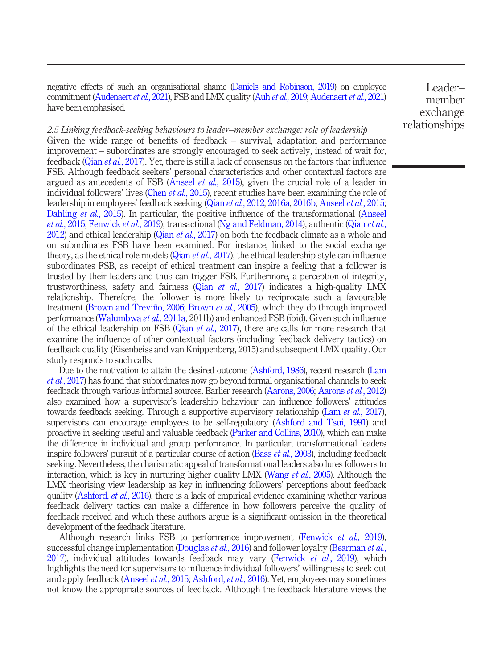negative effects of such an organisational shame [\(Daniels and Robinson, 2019](#page-21-8)) on employee commitment [\(Audenaert](#page-19-6) et al., 2021), FSB and LMX quality (Auh et al.[, 2019](#page-19-7); [Audenaert](#page-19-6) et al., 2021) have been emphasised.

Leader– member exchange relationships

2.5 Linking feedback-seeking behaviours to leader–member exchange: role of leadership Given the wide range of benefits of feedback – survival, adaptation and performance improvement – subordinates are strongly encouraged to seek actively, instead of wait for, feedback (Qian et al.[, 2017](#page-25-16)). Yet, there is still a lack of consensus on the factors that influence FSB. Although feedback seekers' personal characteristics and other contextual factors are argued as antecedents of FSB [\(Anseel](#page-19-5) et al., 2015), given the crucial role of a leader in individual followers' lives (Chen *et al.*[, 2015\)](#page-20-10), recent studies have been examining the role of leadership in employees' feedback seeking (Qian et al.[, 2012,](#page-24-15) [2016a,](#page-25-2) [2016b](#page-25-3); [Anseel](#page-19-5) et al., 2015; [Dahling](#page-21-9) *et al.*, 2015). In particular, the positive influence of the transformational [\(Anseel](#page-19-5) et al.[, 2015;](#page-19-5) [Fenwick](#page-21-10) et al., 2019), transactional ([Ng and Feldman, 2014\)](#page-24-16), authentic [\(Qian](#page-24-15) et al., [2012\)](#page-24-15) and ethical leadership (Qian *et al.*[, 2017](#page-25-16)) on both the feedback climate as a whole and on subordinates FSB have been examined. For instance, linked to the social exchange theory, as the ethical role models (Qian *et al.*[, 2017\)](#page-25-16), the ethical leadership style can influence subordinates FSB, as receipt of ethical treatment can inspire a feeling that a follower is trusted by their leaders and thus can trigger FSB. Furthermore, a perception of integrity, trustworthiness, safety and fairness (Qian *et al.*[, 2017\)](#page-25-16) indicates a high-quality LMX relationship. Therefore, the follower is more likely to reciprocate such a favourable treatment ([Brown and Treviño, 2006](#page-20-11); [Brown](#page-20-12) et al., 2005), which they do through improved performance ([Walumbwa](#page-26-8) et al., 2011a, 2011b) and enhanced FSB (ibid). Given such influence of the ethical leadership on FSB (Qian *et al.*[, 2017](#page-25-16)), there are calls for more research that examine the influence of other contextual factors (including feedback delivery tactics) on feedback quality (Eisenbeiss and van Knippenberg, 2015) and subsequent LMX quality. Our study responds to such calls.

Due to the motivation to attain the desired outcome ([Ashford, 1986\)](#page-19-8), recent research [\(Lam](#page-23-3) et al.[, 2017](#page-23-3)) has found that subordinates now go beyond formal organisational channels to seek feedback through various informal sources. Earlier research [\(Aarons, 2006](#page-19-9); [Aarons](#page-19-10) et al., 2012) also examined how a supervisor's leadership behaviour can influence followers' attitudes towards feedback seeking. Through a supportive supervisory relationship (Lam *et al.*[, 2017\)](#page-23-3), supervisors can encourage employees to be self-regulatory ([Ashford and Tsui, 1991\)](#page-19-11) and proactive in seeking useful and valuable feedback [\(Parker and Collins, 2010](#page-24-13)), which can make the difference in individual and group performance. In particular, transformational leaders inspire followers' pursuit of a particular course of action (Bass et al.[, 2003\)](#page-20-13), including feedback seeking. Nevertheless, the charismatic appeal of transformational leaders also lures followers to interaction, which is key in nurturing higher quality LMX [\(Wang](#page-26-9) *et al.*, 2005). Although the LMX theorising view leadership as key in influencing followers' perceptions about feedback quality ([Ashford,](#page-19-3) *et al.*, 2016), there is a lack of empirical evidence examining whether various feedback delivery tactics can make a difference in how followers perceive the quality of feedback received and which these authors argue is a significant omission in the theoretical development of the feedback literature.

Although research links FSB to performance improvement [\(Fenwick](#page-21-10) et al., 2019), successful change implementation [\(Douglas](#page-21-11) *et al.*, 2016) and follower loyalty ([Bearman](#page-20-14) *et al.*, [2017\)](#page-20-14), individual attitudes towards feedback may vary [\(Fenwick](#page-21-10) et al., 2019), which highlights the need for supervisors to influence individual followers' willingness to seek out and apply feedback ([Anseel](#page-19-5) *et al.*, 2015; [Ashford,](#page-19-3) *et al.*, 2016). Yet, employees may sometimes not know the appropriate sources of feedback. Although the feedback literature views the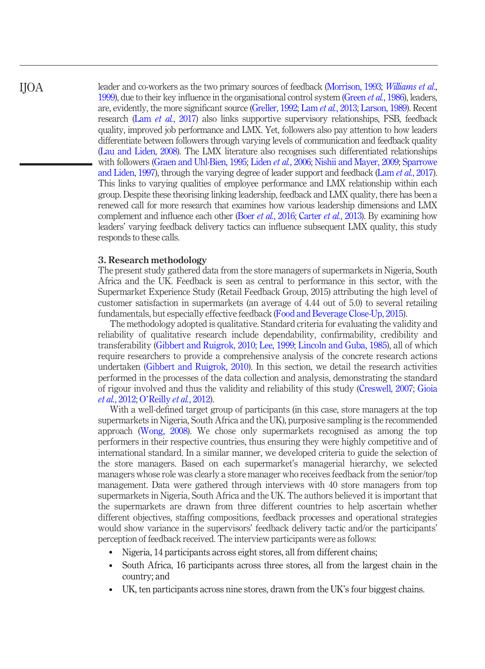IJOA

leader and co-workers as the two primary sources of feedback ([Morrison, 1993;](#page-24-1) [Williams et al](#page-26-10)., [1999\)](#page-26-10), due to their key influence in the organisational control system [\(Green](#page-22-14) *et al.*, 1986), leaders, are, evidently, the more significant source [\(Greller, 1992](#page-22-15); Lam et al.[, 2013](#page-23-11); [Larson, 1989\)](#page-23-12). Recent research (Lam *et al.*[, 2017](#page-23-3)) also links supportive supervisory relationships, FSB, feedback quality, improved job performance and LMX. Yet, followers also pay attention to how leaders differentiate between followers through varying levels of communication and feedback quality [\(Lau and Liden, 2008](#page-23-13)). The LMX literature also recognises such differentiated relationships with followers ([Graen and Uhl-Bien, 1995;](#page-22-13) [Liden](#page-23-6) et al., 2006; [Nishii and Mayer, 2009;](#page-24-7) [Sparrowe](#page-25-17) [and Liden, 1997\)](#page-25-17), through the varying degree of leader support and feedback (Lam *et al.*[, 2017\)](#page-23-3). This links to varying qualities of employee performance and LMX relationship within each group. Despite these theorising linking leadership, feedback and LMX quality, there has been a renewed call for more research that examines how various leadership dimensions and LMX complement and influence each other (Boer *et al.*[, 2016;](#page-20-1) [Carter](#page-20-2) *et al.*, 2013). By examining how leaders' varying feedback delivery tactics can influence subsequent LMX quality, this study responds to these calls.

#### 3. Research methodology

The present study gathered data from the store managers of supermarkets in Nigeria, South Africa and the UK. Feedback is seen as central to performance in this sector, with the Supermarket Experience Study (Retail Feedback Group, 2015) attributing the high level of customer satisfaction in supermarkets (an average of 4.44 out of 5.0) to several retailing fundamentals, but especially effective feedback ([Food and Beverage Close-Up, 2015](#page-21-12)).

The methodology adopted is qualitative. Standard criteria for evaluating the validity and reliability of qualitative research include dependability, confirmability, credibility and transferability ([Gibbert and Ruigrok, 2010;](#page-22-16) [Lee, 1999](#page-23-14); [Lincoln and Guba, 1985\)](#page-23-15), all of which require researchers to provide a comprehensive analysis of the concrete research actions undertaken ([Gibbert and Ruigrok, 2010\)](#page-22-16). In this section, we detail the research activities performed in the processes of the data collection and analysis, demonstrating the standard of rigour involved and thus the validity and reliability of this study [\(Creswell, 2007](#page-21-13); [Gioia](#page-22-17) et al.[, 2012](#page-22-17); O'[Reilly](#page-24-17) et al., 2012).

With a well-defined target group of participants (in this case, store managers at the top supermarkets in Nigeria, South Africa and the UK), purposive sampling is the recommended approach ([Wong, 2008\)](#page-26-11). We chose only supermarkets recognised as among the top performers in their respective countries, thus ensuring they were highly competitive and of international standard. In a similar manner, we developed criteria to guide the selection of the store managers. Based on each supermarket's managerial hierarchy, we selected managers whose role was clearly a store manager who receives feedback from the senior/top management. Data were gathered through interviews with 40 store managers from top supermarkets in Nigeria, South Africa and the UK. The authors believed it is important that the supermarkets are drawn from three different countries to help ascertain whether different objectives, staffing compositions, feedback processes and operational strategies would show variance in the supervisors' feedback delivery tactic and/or the participants' perception of feedback received. The interview participants were as follows:

- Nigeria, 14 participants across eight stores, all from different chains;
- South Africa, 16 participants across three stores, all from the largest chain in the country; and
- UK, ten participants across nine stores, drawn from the UK's four biggest chains.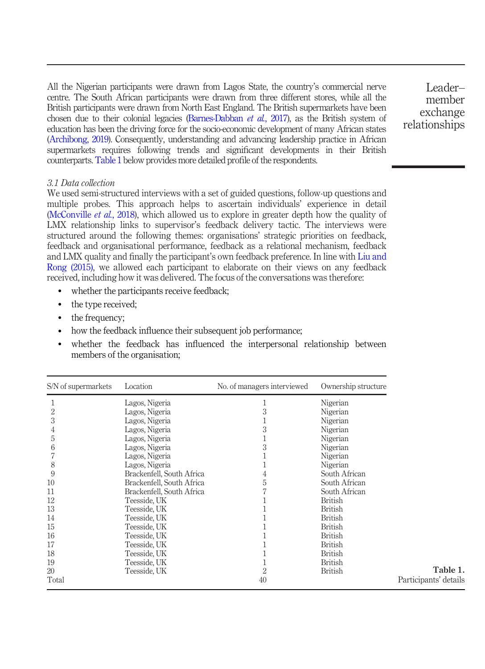All the Nigerian participants were drawn from Lagos State, the country's commercial nerve centre. The South African participants were drawn from three different stores, while all the British participants were drawn from North East England. The British supermarkets have been chosen due to their colonial legacies ([Barnes-Dabban](#page-19-12) et al., 2017), as the British system of education has been the driving force for the socio-economic development of many African states [\(Archibong, 2019](#page-19-13)). Consequently, understanding and advancing leadership practice in African supermarkets requires following trends and significant developments in their British counterparts.[Table 1](#page-8-0) below provides more detailed profile of the respondents.

Leader– member exchange relationships

#### 3.1 Data collection

We used semi-structured interviews with a set of guided questions, follow-up questions and multiple probes. This approach helps to ascertain individuals' experience in detail [\(McConville](#page-24-18) *et al.*, 2018), which allowed us to explore in greater depth how the quality of LMX relationship links to supervisor's feedback delivery tactic. The interviews were structured around the following themes: organisations' strategic priorities on feedback, feedback and organisational performance, feedback as a relational mechanism, feedback and LMX quality and finally the participant's own feedback preference. In line with [Liu and](#page-23-16) [Rong \(2015\),](#page-23-16) we allowed each participant to elaborate on their views on any feedback received, including how it was delivered. The focus of the conversations was therefore:

- whether the participants receive feedback;
- the type received;
- the frequency;
- how the feedback influence their subsequent job performance;
- whether the feedback has influenced the interpersonal relationship between members of the organisation;

<span id="page-8-0"></span>

| S/N of supermarkets | Location                  | No. of managers interviewed | Ownership structure |                       |
|---------------------|---------------------------|-----------------------------|---------------------|-----------------------|
|                     | Lagos, Nigeria            |                             | Nigerian            |                       |
| 2                   | Lagos, Nigeria            | 3                           | Nigerian            |                       |
| 3                   | Lagos, Nigeria            |                             | Nigerian            |                       |
| 4                   | Lagos, Nigeria            | 3                           | Nigerian            |                       |
| 5                   | Lagos, Nigeria            |                             | Nigerian            |                       |
| 6                   | Lagos, Nigeria            | 3                           | Nigerian            |                       |
|                     | Lagos, Nigeria            |                             | Nigerian            |                       |
| 8                   | Lagos, Nigeria            |                             | Nigerian            |                       |
| 9                   | Brackenfell, South Africa | 4                           | South African       |                       |
| 10                  | Brackenfell, South Africa | 5                           | South African       |                       |
| 11                  | Brackenfell, South Africa |                             | South African       |                       |
| 12                  | Teesside, UK              |                             | <b>British</b>      |                       |
| 13                  | Teesside, UK              |                             | <b>British</b>      |                       |
| 14                  | Teesside, UK              |                             | <b>British</b>      |                       |
| 15                  | Teesside, UK              |                             | <b>British</b>      |                       |
| 16                  | Teesside, UK              |                             | <b>British</b>      |                       |
| 17                  | Teesside, UK              |                             | <b>British</b>      |                       |
| 18                  | Teesside, UK              |                             | <b>British</b>      |                       |
| 19                  | Teesside, UK              |                             | <b>British</b>      |                       |
| 20                  | Teesside, UK              | $\overline{2}$              | <b>British</b>      | Table 1.              |
| Total               |                           | 40                          |                     | Participants' details |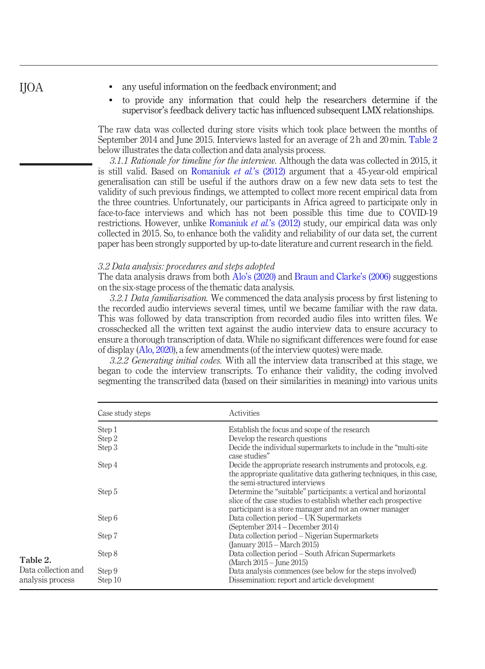- any useful information on the feedback environment; and
- to provide any information that could help the researchers determine if the supervisor's feedback delivery tactic has influenced subsequent LMX relationships.

The raw data was collected during store visits which took place between the months of September 2014 and June 2015. Interviews lasted for an average of 2 h and 20 min. [Table 2](#page-9-0) below illustrates the data collection and data analysis process.

3.1.1 Rationale for timeline for the interview. Although the data was collected in 2015, it is still valid. Based on [Romaniuk](#page-25-18) *et al.*'s  $(2012)$  argument that a 45-year-old empirical generalisation can still be useful if the authors draw on a few new data sets to test the validity of such previous findings, we attempted to collect more recent empirical data from the three countries. Unfortunately, our participants in Africa agreed to participate only in face-to-face interviews and which has not been possible this time due to COVID-19 restrictions. However, unlike [Romaniuk](#page-25-18) *et al.*'s (2012) study, our empirical data was only collected in 2015. So, to enhance both the validity and reliability of our data set, the current paper has been strongly supported by up-to-date literature and current research in the field.

#### 3.2 Data analysis: procedures and steps adopted

The data analysis draws from both Alo'[s \(2020\)](#page-19-14) and [Braun and Clarke](#page-20-15)'s (2006) suggestions on the six-stage process of the thematic data analysis.

3.2.1 Data familiarisation. We commenced the data analysis process by first listening to the recorded audio interviews several times, until we became familiar with the raw data. This was followed by data transcription from recorded audio files into written files. We crosschecked all the written text against the audio interview data to ensure accuracy to ensure a thorough transcription of data. While no significant differences were found for ease of display [\(Alo, 2020](#page-19-14)), a few amendments (of the interview quotes) were made.

3.2.2 Generating initial codes. With all the interview data transcribed at this stage, we began to code the interview transcripts. To enhance their validity, the coding involved segmenting the transcribed data (based on their similarities in meaning) into various units

<span id="page-9-0"></span>

|                     | Case study steps | Activities                                                                                                                                                                                     |  |  |  |  |
|---------------------|------------------|------------------------------------------------------------------------------------------------------------------------------------------------------------------------------------------------|--|--|--|--|
|                     | Step 1           | Establish the focus and scope of the research                                                                                                                                                  |  |  |  |  |
|                     | Step 2           | Develop the research questions                                                                                                                                                                 |  |  |  |  |
|                     | Step 3           | Decide the individual supermarkets to include in the "multi-site"<br>case studies"                                                                                                             |  |  |  |  |
|                     | Step 4           | Decide the appropriate research instruments and protocols, e.g.<br>the appropriate qualitative data gathering techniques, in this case,<br>the semi-structured interviews                      |  |  |  |  |
|                     | Step 5           | Determine the "suitable" participants: a vertical and horizontal<br>slice of the case studies to establish whether each prospective<br>participant is a store manager and not an owner manager |  |  |  |  |
|                     | Step 6           | Data collection period – UK Supermarkets<br>(September 2014 – December 2014)                                                                                                                   |  |  |  |  |
|                     | Step 7           | Data collection period – Nigerian Supermarkets<br>(January 2015 – March 2015)                                                                                                                  |  |  |  |  |
| Table 2.            | Step 8           | Data collection period – South African Supermarkets<br>(March 2015 – June 2015)                                                                                                                |  |  |  |  |
| Data collection and | Step 9           | Data analysis commences (see below for the steps involved)                                                                                                                                     |  |  |  |  |
| analysis process    | Step 10          | Dissemination: report and article development                                                                                                                                                  |  |  |  |  |

## IJOA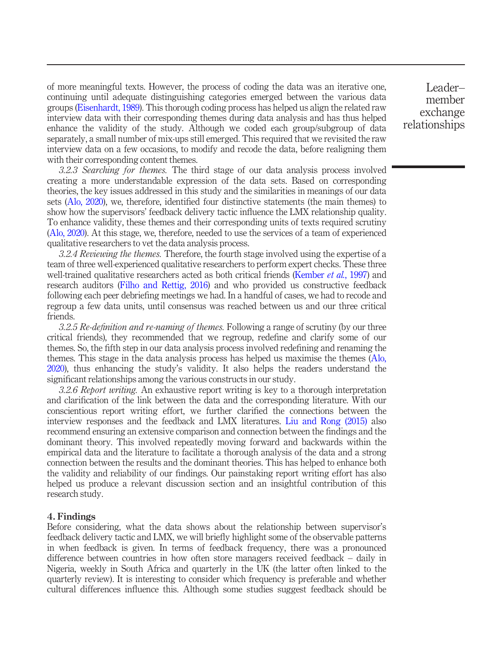of more meaningful texts. However, the process of coding the data was an iterative one, continuing until adequate distinguishing categories emerged between the various data groups ([Eisenhardt, 1989\)](#page-21-14). This thorough coding process has helped us align the related raw interview data with their corresponding themes during data analysis and has thus helped enhance the validity of the study. Although we coded each group/subgroup of data separately, a small number of mix-ups still emerged. This required that we revisited the raw interview data on a few occasions, to modify and recode the data, before realigning them with their corresponding content themes.

3.2.3 Searching for themes. The third stage of our data analysis process involved creating a more understandable expression of the data sets. Based on corresponding theories, the key issues addressed in this study and the similarities in meanings of our data sets [\(Alo, 2020\)](#page-19-14), we, therefore, identified four distinctive statements (the main themes) to show how the supervisors' feedback delivery tactic influence the LMX relationship quality. To enhance validity, these themes and their corresponding units of texts required scrutiny [\(Alo, 2020](#page-19-14)). At this stage, we, therefore, needed to use the services of a team of experienced qualitative researchers to vet the data analysis process.

3.2.4 Reviewing the themes. Therefore, the fourth stage involved using the expertise of a team of three well-experienced qualitative researchers to perform expert checks. These three well-trained qualitative researchers acted as both critical friends [\(Kember](#page-23-17) et al., 1997) and research auditors [\(Filho and Rettig, 2016](#page-21-15)) and who provided us constructive feedback following each peer debriefing meetings we had. In a handful of cases, we had to recode and regroup a few data units, until consensus was reached between us and our three critical friends.

3.2.5 Re-definition and re-naming of themes. Following a range of scrutiny (by our three critical friends), they recommended that we regroup, redefine and clarify some of our themes. So, the fifth step in our data analysis process involved redefining and renaming the themes. This stage in the data analysis process has helped us maximise the themes [\(Alo,](#page-19-14) [2020\)](#page-19-14), thus enhancing the study's validity. It also helps the readers understand the significant relationships among the various constructs in our study.

3.2.6 Report writing. An exhaustive report writing is key to a thorough interpretation and clarification of the link between the data and the corresponding literature. With our conscientious report writing effort, we further clarified the connections between the interview responses and the feedback and LMX literatures. [Liu and Rong \(2015\)](#page-23-16) also recommend ensuring an extensive comparison and connection between the findings and the dominant theory. This involved repeatedly moving forward and backwards within the empirical data and the literature to facilitate a thorough analysis of the data and a strong connection between the results and the dominant theories. This has helped to enhance both the validity and reliability of our findings. Our painstaking report writing effort has also helped us produce a relevant discussion section and an insightful contribution of this research study.

#### 4. Findings

Before considering, what the data shows about the relationship between supervisor's feedback delivery tactic and LMX, we will briefly highlight some of the observable patterns in when feedback is given. In terms of feedback frequency, there was a pronounced difference between countries in how often store managers received feedback – daily in Nigeria, weekly in South Africa and quarterly in the UK (the latter often linked to the quarterly review). It is interesting to consider which frequency is preferable and whether cultural differences influence this. Although some studies suggest feedback should be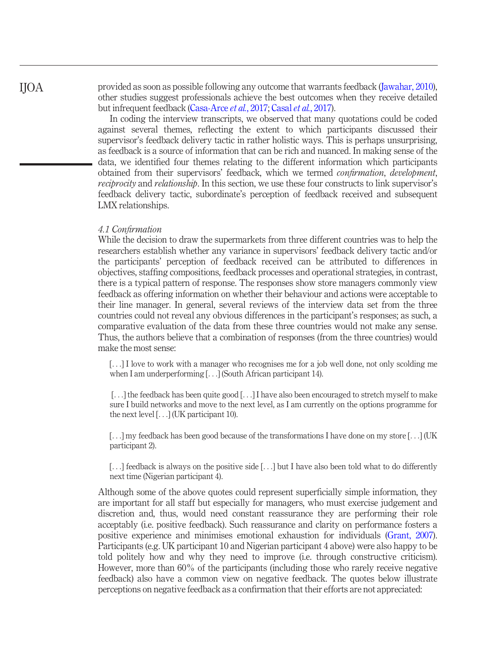provided as soon as possible following any outcome that warrants feedback ([Jawahar, 2010\)](#page-22-10), other studies suggest professionals achieve the best outcomes when they receive detailed but infrequent feedback [\(Casa-Arce](#page-20-16) et al.[, 2017](#page-20-17); Casal et al., 2017).

In coding the interview transcripts, we observed that many quotations could be coded against several themes, reflecting the extent to which participants discussed their supervisor's feedback delivery tactic in rather holistic ways. This is perhaps unsurprising, as feedback is a source of information that can be rich and nuanced. In making sense of the data, we identified four themes relating to the different information which participants obtained from their supervisors' feedback, which we termed confirmation, development, reciprocity and relationship. In this section, we use these four constructs to link supervisor's feedback delivery tactic, subordinate's perception of feedback received and subsequent LMX relationships.

#### 4.1 Confirmation

While the decision to draw the supermarkets from three different countries was to help the researchers establish whether any variance in supervisors' feedback delivery tactic and/or the participants' perception of feedback received can be attributed to differences in objectives, staffing compositions, feedback processes and operational strategies, in contrast, there is a typical pattern of response. The responses show store managers commonly view feedback as offering information on whether their behaviour and actions were acceptable to their line manager. In general, several reviews of the interview data set from the three countries could not reveal any obvious differences in the participant's responses; as such, a comparative evaluation of the data from these three countries would not make any sense. Thus, the authors believe that a combination of responses (from the three countries) would make the most sense:

[...] I love to work with a manager who recognises me for a job well done, not only scolding me when I am underperforming [...] (South African participant 14).

[...] the feedback has been quite good [...] I have also been encouraged to stretch myself to make sure I build networks and move to the next level, as I am currently on the options programme for the next level [...] (UK participant 10).

[...] my feedback has been good because of the transformations I have done on my store [...] (UK participant 2).

[...] feedback is always on the positive side [...] but I have also been told what to do differently next time (Nigerian participant 4).

Although some of the above quotes could represent superficially simple information, they are important for all staff but especially for managers, who must exercise judgement and discretion and, thus, would need constant reassurance they are performing their role acceptably (i.e. positive feedback). Such reassurance and clarity on performance fosters a positive experience and minimises emotional exhaustion for individuals [\(Grant, 2007\)](#page-22-4). Participants (e.g. UK participant 10 and Nigerian participant 4 above) were also happy to be told politely how and why they need to improve (i.e. through constructive criticism). However, more than 60% of the participants (including those who rarely receive negative feedback) also have a common view on negative feedback. The quotes below illustrate perceptions on negative feedback as a confirmation that their efforts are not appreciated: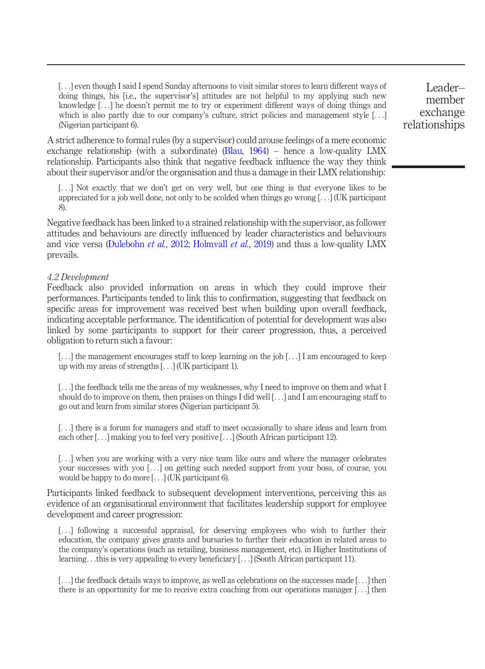[...] even though I said I spend Sunday afternoons to visit similar stores to learn different ways of doing things, his [i.e., the supervisor's] attitudes are not helpful to my applying such new knowledge [...] he doesn't permit me to try or experiment different ways of doing things and which is also partly due to our company's culture, strict policies and management style [...] (Nigerian participant 6).

A strict adherence to formal rules (by a supervisor) could arouse feelings of a mere economic exchange relationship (with a subordinate) ([Blau, 1964](#page-20-8)) – hence a low-quality LMX relationship. Participants also think that negative feedback influence the way they think about their supervisor and/or the organisation and thus a damage in their LMX relationship:

[...] Not exactly that we don't get on very well, but one thing is that everyone likes to be appreciated for a job well done, not only to be scolded when things go wrong [...] (UK participant 8).

Negative feedback has been linked to a strained relationship with the supervisor, as follower attitudes and behaviours are directly influenced by leader characteristics and behaviours and vice versa [\(Dulebohn](#page-21-4) et al., 2012; [Holmvall](#page-22-5) et al., 2019) and thus a low-quality LMX prevails.

#### 4.2 Development

Feedback also provided information on areas in which they could improve their performances. Participants tended to link this to confirmation, suggesting that feedback on specific areas for improvement was received best when building upon overall feedback, indicating acceptable performance. The identification of potential for development was also linked by some participants to support for their career progression, thus, a perceived obligation to return such a favour:

[...] the management encourages staff to keep learning on the job [...] I am encouraged to keep up with my areas of strengths [...] (UK participant 1).

[...] the feedback tells me the areas of my weaknesses, why I need to improve on them and what I should do to improve on them, then praises on things I did well [...] and I am encouraging staff to go out and learn from similar stores (Nigerian participant 5).

[...] there is a forum for managers and staff to meet occasionally to share ideas and learn from each other [...] making you to feel very positive [...] (South African participant 12).

[...] when you are working with a very nice team like ours and where the manager celebrates your successes with you [...] on getting such needed support from your boss, of course, you would be happy to do more [...] (UK participant 6).

Participants linked feedback to subsequent development interventions, perceiving this as evidence of an organisational environment that facilitates leadership support for employee development and career progression:

[...] following a successful appraisal, for deserving employees who wish to further their education, the company gives grants and bursaries to further their education in related areas to the company's operations (such as retailing, business management, etc). in Higher Institutions of learning...this is very appealing to every beneficiary [...] (South African participant 11).

[...] the feedback details ways to improve, as well as celebrations on the successes made [...] then there is an opportunity for me to receive extra coaching from our operations manager [...] then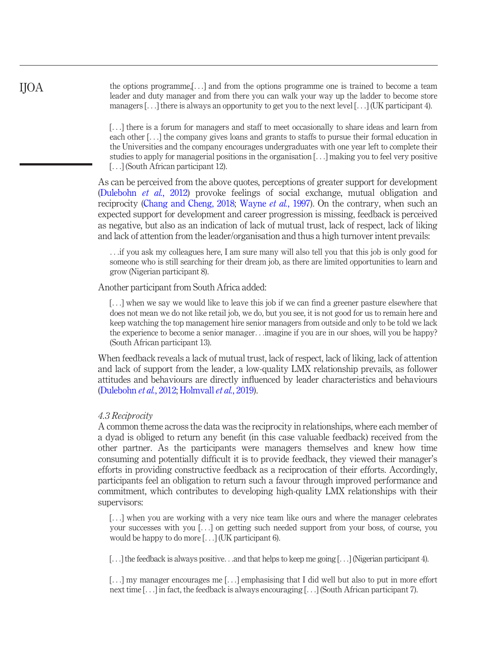the options programme,[...] and from the options programme one is trained to become a team leader and duty manager and from there you can walk your way up the ladder to become store managers [...] there is always an opportunity to get you to the next level [...] (UK participant 4).

[...] there is a forum for managers and staff to meet occasionally to share ideas and learn from each other [...] the company gives loans and grants to staffs to pursue their formal education in the Universities and the company encourages undergraduates with one year left to complete their studies to apply for managerial positions in the organisation [...] making you to feel very positive [...] (South African participant 12).

As can be perceived from the above quotes, perceptions of greater support for development [\(Dulebohn](#page-21-4) et al., 2012) provoke feelings of social exchange, mutual obligation and reciprocity [\(Chang and Cheng, 2018;](#page-20-7) [Wayne](#page-26-3) et al., 1997). On the contrary, when such an expected support for development and career progression is missing, feedback is perceived as negative, but also as an indication of lack of mutual trust, lack of respect, lack of liking and lack of attention from the leader/organisation and thus a high turnover intent prevails:

...if you ask my colleagues here, I am sure many will also tell you that this job is only good for someone who is still searching for their dream job, as there are limited opportunities to learn and grow (Nigerian participant 8).

Another participant from South Africa added:

[...] when we say we would like to leave this job if we can find a greener pasture elsewhere that does not mean we do not like retail job, we do, but you see, it is not good for us to remain here and keep watching the top management hire senior managers from outside and only to be told we lack the experience to become a senior manager...imagine if you are in our shoes, will you be happy? (South African participant 13).

When feedback reveals a lack of mutual trust, lack of respect, lack of liking, lack of attention and lack of support from the leader, a low-quality LMX relationship prevails, as follower attitudes and behaviours are directly influenced by leader characteristics and behaviours [\(Dulebohn](#page-21-4) et al., 2012; [Holmvall](#page-22-5) et al., 2019).

#### 4.3 Reciprocity

IJOA

A common theme across the data was the reciprocity in relationships, where each member of a dyad is obliged to return any benefit (in this case valuable feedback) received from the other partner. As the participants were managers themselves and knew how time consuming and potentially difficult it is to provide feedback, they viewed their manager's efforts in providing constructive feedback as a reciprocation of their efforts. Accordingly, participants feel an obligation to return such a favour through improved performance and commitment, which contributes to developing high-quality LMX relationships with their supervisors:

[...] when you are working with a very nice team like ours and where the manager celebrates your successes with you [...] on getting such needed support from your boss, of course, you would be happy to do more [...] (UK participant 6).

[...] the feedback is always positive...and that helps to keep me going [...] (Nigerian participant 4).

[...] my manager encourages me [...] emphasising that I did well but also to put in more effort next time [...] in fact, the feedback is always encouraging [...] (South African participant 7).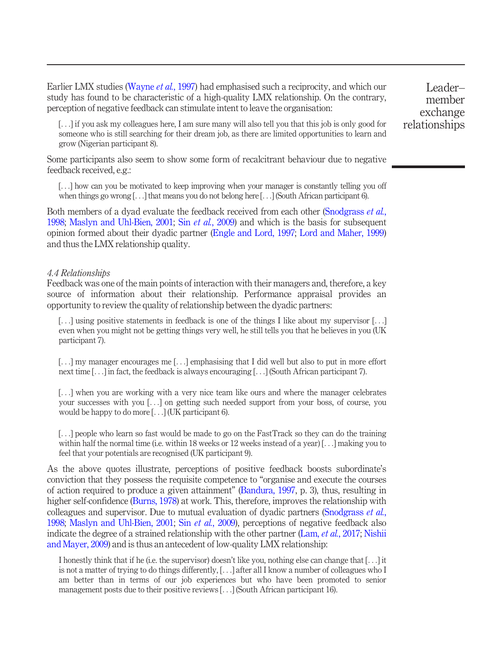Earlier LMX studies ([Wayne](#page-26-3) *et al.*, 1997) had emphasised such a reciprocity, and which our study has found to be characteristic of a high-quality LMX relationship. On the contrary, perception of negative feedback can stimulate intent to leave the organisation:

[...] if you ask my colleagues here, I am sure many will also tell you that this job is only good for someone who is still searching for their dream job, as there are limited opportunities to learn and grow (Nigerian participant 8).

Some participants also seem to show some form of recalcitrant behaviour due to negative feedback received, e.g.:

[...] how can you be motivated to keep improving when your manager is constantly telling you off when things go wrong [...] that means you do not belong here [...] (South African participant 6).

Both members of a dyad evaluate the feedback received from each other ([Snodgrass](#page-25-9) *et al.*, [1998;](#page-25-9) [Maslyn and Uhl-Bien, 2001](#page-24-11); Sin et al.[, 2009\)](#page-25-10) and which is the basis for subsequent opinion formed about their dyadic partner ([Engle and Lord, 1997;](#page-21-5) [Lord and Maher, 1999\)](#page-24-10) and thus the LMX relationship quality.

#### 4.4 Relationships

Feedback was one of the main points of interaction with their managers and, therefore, a key source of information about their relationship. Performance appraisal provides an opportunity to review the quality of relationship between the dyadic partners:

[...] using positive statements in feedback is one of the things I like about my supervisor [...] even when you might not be getting things very well, he still tells you that he believes in you (UK participant 7).

[...] my manager encourages me [...] emphasising that I did well but also to put in more effort next time [...] in fact, the feedback is always encouraging [...] (South African participant 7).

[...] when you are working with a very nice team like ours and where the manager celebrates your successes with you [...] on getting such needed support from your boss, of course, you would be happy to do more [...] (UK participant 6).

[...] people who learn so fast would be made to go on the FastTrack so they can do the training within half the normal time (i.e. within 18 weeks or 12 weeks instead of a year) [...] making you to feel that your potentials are recognised (UK participant 9).

As the above quotes illustrate, perceptions of positive feedback boosts subordinate's conviction that they possess the requisite competence to "organise and execute the courses of action required to produce a given attainment" [\(Bandura, 1997](#page-19-15), p. 3), thus, resulting in higher self-confidence [\(Burns, 1978\)](#page-20-18) at work. This, therefore, improves the relationship with colleagues and supervisor. Due to mutual evaluation of dyadic partners [\(Snodgrass](#page-25-9) *et al.*, [1998;](#page-25-9) [Maslyn and Uhl-Bien, 2001;](#page-24-11) Sin et al.[, 2009](#page-25-10)), perceptions of negative feedback also indicate the degree of a strained relationship with the other partner (Lam, *et al.*[, 2017](#page-23-3); [Nishii](#page-24-7) [and Mayer, 2009\)](#page-24-7) and is thus an antecedent of low-quality LMX relationship:

I honestly think that if he (i.e. the supervisor) doesn't like you, nothing else can change that [...] it is not a matter of trying to do things differently, [...] after all I know a number of colleagues who I am better than in terms of our job experiences but who have been promoted to senior management posts due to their positive reviews [...] (South African participant 16).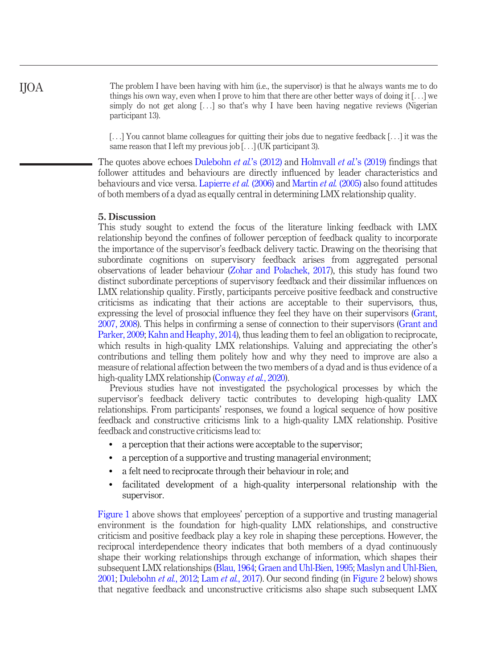The problem I have been having with him (i.e., the supervisor) is that he always wants me to do things his own way, even when I prove to him that there are other better ways of doing it  $[...]$  we simply do not get along [...] so that's why I have been having negative reviews (Nigerian participant 13).

[...] You cannot blame colleagues for quitting their jobs due to negative feedback [...] it was the same reason that I left my previous job [...] (UK participant 3).

The quotes above echoes [Dulebohn](#page-21-4) *et al.*'s (2012) and [Holmvall](#page-22-5) *et al.*'s (2019) findings that follower attitudes and behaviours are directly influenced by leader characteristics and behaviours and vice versa. [Lapierre](#page-23-8) et al. (2006) and [Martin](#page-24-9) et al. (2005) also found attitudes of both members of a dyad as equally central in determining LMX relationship quality.

#### 5. Discussion

This study sought to extend the focus of the literature linking feedback with LMX relationship beyond the confines of follower perception of feedback quality to incorporate the importance of the supervisor's feedback delivery tactic. Drawing on the theorising that subordinate cognitions on supervisory feedback arises from aggregated personal observations of leader behaviour [\(Zohar and Polachek, 2017](#page-26-12)), this study has found two distinct subordinate perceptions of supervisory feedback and their dissimilar influences on LMX relationship quality. Firstly, participants perceive positive feedback and constructive criticisms as indicating that their actions are acceptable to their supervisors, thus, expressing the level of prosocial influence they feel they have on their supervisors [\(Grant,](#page-22-4) [2007, 2008\)](#page-22-6). This helps in confirming a sense of connection to their supervisors [\(Grant and](#page-22-2) [Parker, 2009;](#page-22-2) [Kahn and Heaphy, 2014](#page-22-3)), thus leading them to feel an obligation to reciprocate, which results in high-quality LMX relationships. Valuing and appreciating the other's contributions and telling them politely how and why they need to improve are also a measure of relational affection between the two members of a dyad and is thus evidence of a high-quality LMX relationship ([Conway](#page-21-16) et al., 2020).

Previous studies have not investigated the psychological processes by which the supervisor's feedback delivery tactic contributes to developing high-quality LMX relationships. From participants' responses, we found a logical sequence of how positive feedback and constructive criticisms link to a high-quality LMX relationship. Positive feedback and constructive criticisms lead to:

- a perception that their actions were acceptable to the supervisor;
- a perception of a supportive and trusting managerial environment;
- a felt need to reciprocate through their behaviour in role; and
- facilitated development of a high-quality interpersonal relationship with the supervisor.

[Figure 1](#page-16-0) above shows that employees' perception of a supportive and trusting managerial environment is the foundation for high-quality LMX relationships, and constructive criticism and positive feedback play a key role in shaping these perceptions. However, the reciprocal interdependence theory indicates that both members of a dyad continuously shape their working relationships through exchange of information, which shapes their subsequent LMX relationships ([Blau, 1964](#page-20-8); [Graen and Uhl-Bien, 1995](#page-22-13); [Maslyn and Uhl-Bien,](#page-24-11) [2001](#page-24-11); [Dulebohn](#page-21-4) et al., 2012; Lam et al.[, 2017](#page-23-3)). Our second finding (in [Figure 2](#page-16-1) below) shows that negative feedback and unconstructive criticisms also shape such subsequent LMX

IJOA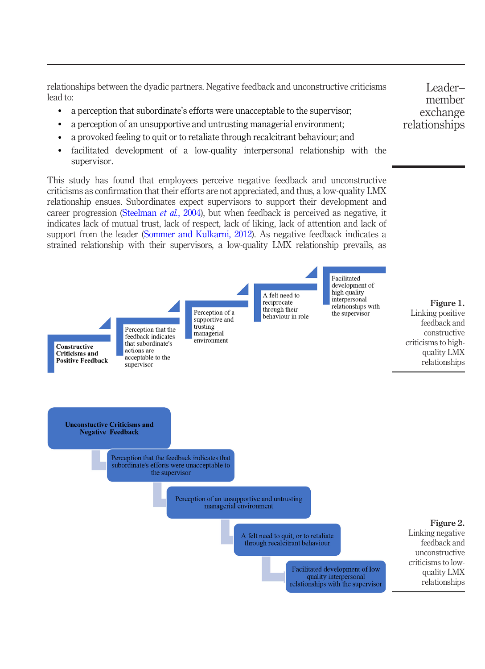relationships between the dyadic partners. Negative feedback and unconstructive criticisms lead to:

- a perception that subordinate's efforts were unacceptable to the supervisor;
- a perception of an unsupportive and untrusting managerial environment;
- a provoked feeling to quit or to retaliate through recalcitrant behaviour; and
- facilitated development of a low-quality interpersonal relationship with the supervisor.

<span id="page-16-0"></span>This study has found that employees perceive negative feedback and unconstructive criticisms as confirmation that their efforts are not appreciated, and thus, a low-quality LMX relationship ensues. Subordinates expect supervisors to support their development and career progression ([Steelman](#page-25-14) *et al.*, 2004), but when feedback is perceived as negative, it indicates lack of mutual trust, lack of respect, lack of liking, lack of attention and lack of support from the leader ([Sommer and Kulkarni, 2012](#page-25-7)). As negative feedback indicates a strained relationship with their supervisors, a low-quality LMX relationship prevails, as

<span id="page-16-1"></span>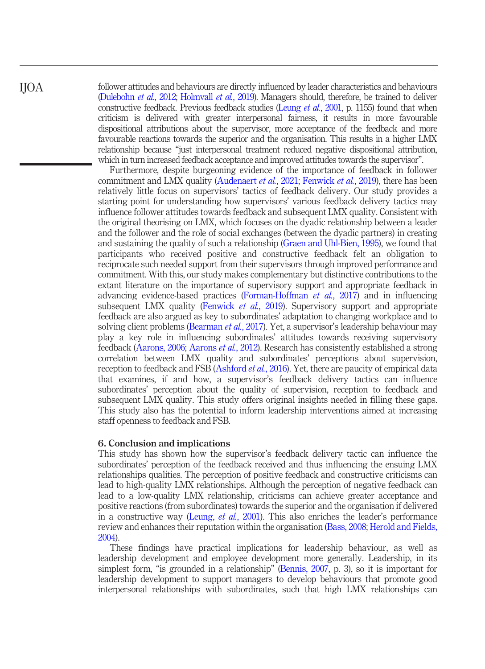follower attitudes and behaviours are directly influenced by leader characteristics and behaviours [\(Dulebohn](#page-21-4) et al., 2012; [Holmvall](#page-22-5) et al., 2019). Managers should, therefore, be trained to deliver constructive feedback. Previous feedback studies [\(Leung](#page-23-0) et al., 2001, p. 1155) found that when criticism is delivered with greater interpersonal fairness, it results in more favourable dispositional attributions about the supervisor, more acceptance of the feedback and more favourable reactions towards the superior and the organisation. This results in a higher LMX relationship because "just interpersonal treatment reduced negative dispositional attribution, which in turn increased feedback acceptance and improved attitudes towards the supervisor".

Furthermore, despite burgeoning evidence of the importance of feedback in follower commitment and LMX quality ([Audenaert](#page-19-6) et al., 2021; [Fenwick](#page-21-10) et al., 2019), there has been relatively little focus on supervisors' tactics of feedback delivery. Our study provides a starting point for understanding how supervisors' various feedback delivery tactics may influence follower attitudes towards feedback and subsequent LMX quality. Consistent with the original theorising on LMX, which focuses on the dyadic relationship between a leader and the follower and the role of social exchanges (between the dyadic partners) in creating and sustaining the quality of such a relationship [\(Graen and Uhl-Bien, 1995](#page-22-13)), we found that participants who received positive and constructive feedback felt an obligation to reciprocate such needed support from their supervisors through improved performance and commitment. With this, our study makes complementary but distinctive contributions to the extant literature on the importance of supervisory support and appropriate feedback in advancing evidence-based practices ([Forman-Hoffman](#page-21-17) et al., 2017) and in influencing subsequent LMX quality [\(Fenwick](#page-21-10) *et al.*, 2019). Supervisory support and appropriate feedback are also argued as key to subordinates' adaptation to changing workplace and to solving client problems [\(Bearman](#page-20-14) et al., 2017). Yet, a supervisor's leadership behaviour may play a key role in influencing subordinates' attitudes towards receiving supervisory feedback [\(Aarons, 2006](#page-19-9); [Aarons](#page-19-10) et al., 2012). Research has consistently established a strong correlation between LMX quality and subordinates' perceptions about supervision, reception to feedback and FSB [\(Ashford](#page-19-3) *et al.*, 2016). Yet, there are paucity of empirical data that examines, if and how, a supervisor's feedback delivery tactics can influence subordinates' perception about the quality of supervision, reception to feedback and subsequent LMX quality. This study offers original insights needed in filling these gaps. This study also has the potential to inform leadership interventions aimed at increasing staff openness to feedback and FSB.

#### 6. Conclusion and implications

This study has shown how the supervisor's feedback delivery tactic can influence the subordinates' perception of the feedback received and thus influencing the ensuing LMX relationships qualities. The perception of positive feedback and constructive criticisms can lead to high-quality LMX relationships. Although the perception of negative feedback can lead to a low-quality LMX relationship, criticisms can achieve greater acceptance and positive reactions (from subordinates) towards the superior and the organisation if delivered in a constructive way [\(Leung,](#page-23-0) *et al.*, 2001). This also enriches the leader's performance review and enhances their reputation within the organisation ([Bass, 2008;](#page-20-9) [Herold and Fields,](#page-22-18) [2004](#page-22-18)).

These findings have practical implications for leadership behaviour, as well as leadership development and employee development more generally. Leadership, in its simplest form, "is grounded in a relationship" [\(Bennis, 2007](#page-20-19), p. 3), so it is important for leadership development to support managers to develop behaviours that promote good interpersonal relationships with subordinates, such that high LMX relationships can

IJOA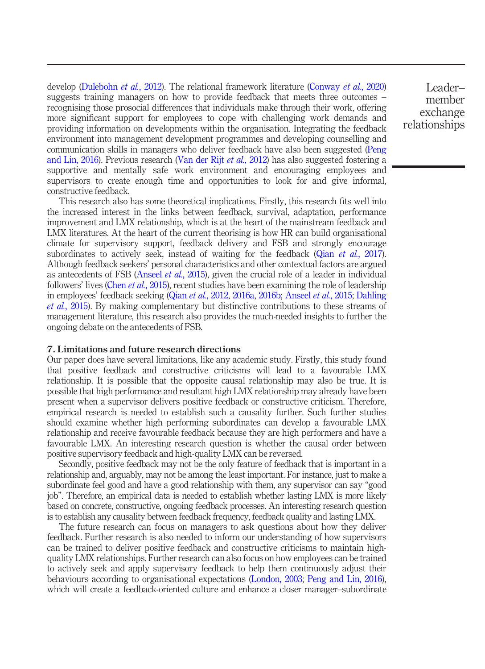develop [\(Dulebohn](#page-21-4) *et al.*, 2012). The relational framework literature [\(Conway](#page-21-16) *et al.*, 2020) suggests training managers on how to provide feedback that meets three outcomes – recognising those prosocial differences that individuals make through their work, offering more significant support for employees to cope with challenging work demands and providing information on developments within the organisation. Integrating the feedback environment into management development programmes and developing counselling and communication skills in managers who deliver feedback have also been suggested [\(Peng](#page-24-2) [and Lin, 2016](#page-24-2)). Previous research ([Van der Rijt](#page-26-13) *et al.*, 2012) has also suggested fostering a supportive and mentally safe work environment and encouraging employees and supervisors to create enough time and opportunities to look for and give informal, constructive feedback.

This research also has some theoretical implications. Firstly, this research fits well into the increased interest in the links between feedback, survival, adaptation, performance improvement and LMX relationship, which is at the heart of the mainstream feedback and LMX literatures. At the heart of the current theorising is how HR can build organisational climate for supervisory support, feedback delivery and FSB and strongly encourage subordinates to actively seek, instead of waiting for the feedback (Qian *et al.*[, 2017\)](#page-25-16). Although feedback seekers' personal characteristics and other contextual factors are argued as antecedents of FSB ([Anseel](#page-19-5) et al., 2015), given the crucial role of a leader in individual followers' lives (Chen *et al.*[, 2015\)](#page-20-10), recent studies have been examining the role of leadership in employees' feedback seeking (Qian et al.[, 2012](#page-24-15), [2016a,](#page-25-2) [2016b;](#page-25-3) [Anseel](#page-19-5) et al., 2015; [Dahling](#page-21-9) et al.[, 2015](#page-21-9)). By making complementary but distinctive contributions to these streams of management literature, this research also provides the much-needed insights to further the ongoing debate on the antecedents of FSB.

#### 7. Limitations and future research directions

Our paper does have several limitations, like any academic study. Firstly, this study found that positive feedback and constructive criticisms will lead to a favourable LMX relationship. It is possible that the opposite causal relationship may also be true. It is possible that high performance and resultant high LMX relationship may already have been present when a supervisor delivers positive feedback or constructive criticism. Therefore, empirical research is needed to establish such a causality further. Such further studies should examine whether high performing subordinates can develop a favourable LMX relationship and receive favourable feedback because they are high performers and have a favourable LMX. An interesting research question is whether the causal order between positive supervisory feedback and high-quality LMX can be reversed.

Secondly, positive feedback may not be the only feature of feedback that is important in a relationship and, arguably, may not be among the least important. For instance, just to make a subordinate feel good and have a good relationship with them, any supervisor can say "good job". Therefore, an empirical data is needed to establish whether lasting LMX is more likely based on concrete, constructive, ongoing feedback processes. An interesting research question is to establish any causality between feedback frequency, feedback quality and lasting LMX.

The future research can focus on managers to ask questions about how they deliver feedback. Further research is also needed to inform our understanding of how supervisors can be trained to deliver positive feedback and constructive criticisms to maintain highquality LMX relationships. Further research can also focus on how employees can be trained to actively seek and apply supervisory feedback to help them continuously adjust their behaviours according to organisational expectations ([London, 2003;](#page-23-18) [Peng and Lin, 2016\)](#page-24-2), which will create a feedback-oriented culture and enhance a closer manager–subordinate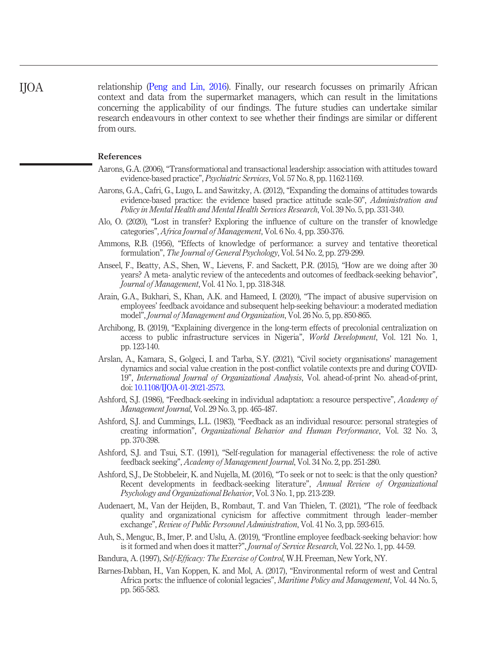relationship ([Peng and Lin, 2016\)](#page-24-2). Finally, our research focusses on primarily African context and data from the supermarket managers, which can result in the limitations concerning the applicability of our findings. The future studies can undertake similar research endeavours in other context to see whether their findings are similar or different from ours. IJOA

#### References

- <span id="page-19-9"></span>Aarons, G.A. (2006), "Transformational and transactional leadership: association with attitudes toward evidence-based practice", Psychiatric Services, Vol. 57 No. 8, pp. 1162-1169.
- <span id="page-19-10"></span>Aarons, G.A., Cafri, G., Lugo, L. and Sawitzky, A. (2012), "Expanding the domains of attitudes towards evidence-based practice: the evidence based practice attitude scale-50", Administration and Policy in Mental Health and Mental Health Services Research, Vol. 39 No. 5, pp. 331-340.
- <span id="page-19-14"></span>Alo, O. (2020), "Lost in transfer? Exploring the influence of culture on the transfer of knowledge categories", Africa Journal of Management, Vol. 6 No. 4, pp. 350-376.
- <span id="page-19-2"></span>Ammons, R.B. (1956), "Effects of knowledge of performance: a survey and tentative theoretical formulation", The Journal of General Psychology, Vol. 54 No. 2, pp. 279-299.
- <span id="page-19-5"></span>Anseel, F., Beatty, A.S., Shen, W., Lievens, F. and Sackett, P.R. (2015), "How are we doing after 30 years? A meta- analytic review of the antecedents and outcomes of feedback-seeking behavior", Journal of Management, Vol. 41 No. 1, pp. 318-348.
- <span id="page-19-1"></span>Arain, G.A., Bukhari, S., Khan, A.K. and Hameed, I. (2020), "The impact of abusive supervision on employees' feedback avoidance and subsequent help-seeking behaviour: a moderated mediation model", Journal of Management and Organization, Vol. 26 No. 5, pp. 850-865.
- <span id="page-19-13"></span>Archibong, B. (2019), "Explaining divergence in the long-term effects of precolonial centralization on access to public infrastructure services in Nigeria", World Development, Vol. 121 No. 1, pp. 123-140.
- <span id="page-19-0"></span>Arslan, A., Kamara, S., Golgeci, I. and Tarba, S.Y. (2021), "Civil society organisations' management dynamics and social value creation in the post-conflict volatile contexts pre and during COVID-19", International Journal of Organizational Analysis, Vol. ahead-of-print No. ahead-of-print, doi: [10.1108/IJOA-01-2021-2573](http://dx.doi.org/10.1108/IJOA-01-2021-2573).
- <span id="page-19-8"></span>Ashford, S.J. (1986), "Feedback-seeking in individual adaptation: a resource perspective", Academy of Management Journal, Vol. 29 No. 3, pp. 465-487.
- <span id="page-19-4"></span>Ashford, S.J. and Cummings, L.L. (1983), "Feedback as an individual resource: personal strategies of creating information", Organizational Behavior and Human Performance, Vol. 32 No. 3, pp. 370-398.
- <span id="page-19-11"></span>Ashford, S.J. and Tsui, S.T. (1991), "Self-regulation for managerial effectiveness: the role of active feedback seeking", Academy of Management Journal, Vol. 34 No. 2, pp. 251-280.
- <span id="page-19-3"></span>Ashford, S.J., De Stobbeleir, K. and Nujella, M. (2016), "To seek or not to seek: is that the only question? Recent developments in feedback-seeking literature", Annual Review of Organizational Psychology and Organizational Behavior, Vol. 3 No. 1, pp. 213-239.
- <span id="page-19-6"></span>Audenaert, M., Van der Heijden, B., Rombaut, T. and Van Thielen, T. (2021), "The role of feedback quality and organizational cynicism for affective commitment through leader–member exchange", Review of Public Personnel Administration, Vol. 41 No. 3, pp. 593-615.
- <span id="page-19-7"></span>Auh, S., Menguc, B., Imer, P. and Uslu, A. (2019), "Frontline employee feedback-seeking behavior: how is it formed and when does it matter?", Journal of Service Research, Vol. 22 No. 1, pp. 44-59.
- <span id="page-19-15"></span>Bandura, A. (1997), Self-Efficacy: The Exercise of Control, W.H. Freeman, New York, NY.
- <span id="page-19-12"></span>Barnes-Dabban, H., Van Koppen, K. and Mol, A. (2017), "Environmental reform of west and Central Africa ports: the influence of colonial legacies", Maritime Policy and Management, Vol. 44 No. 5, pp. 565-583.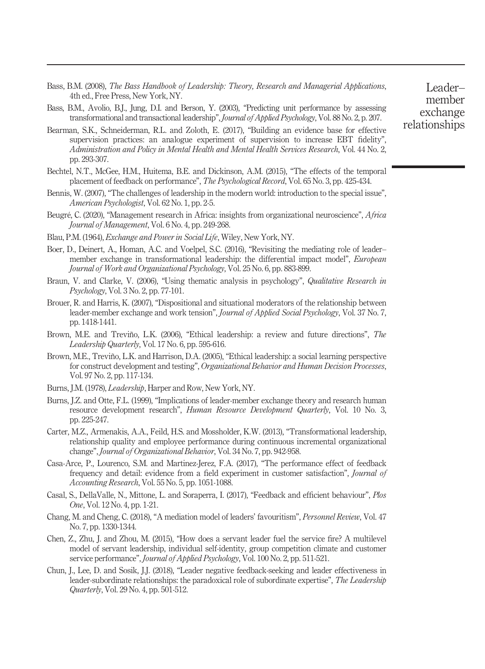- <span id="page-20-9"></span>Bass, B.M. (2008), The Bass Handbook of Leadership: Theory, Research and Managerial Applications, 4th ed., Free Press, New York, NY.
- <span id="page-20-13"></span>Bass, B.M., Avolio, B.J., Jung, D.I. and Berson, Y. (2003), "Predicting unit performance by assessing transformational and transactional leadership", Journal of Applied Psychology, Vol. 88 No. 2, p. 207.
- <span id="page-20-14"></span>Bearman, S.K., Schneiderman, R.L. and Zoloth, E. (2017), "Building an evidence base for effective supervision practices: an analogue experiment of supervision to increase EBT fidelity", Administration and Policy in Mental Health and Mental Health Services Research, Vol. 44 No. 2, pp. 293-307.
- <span id="page-20-4"></span>Bechtel, N.T., McGee, H.M., Huitema, B.E. and Dickinson, A.M. (2015), "The effects of the temporal placement of feedback on performance", The Psychological Record, Vol. 65 No. 3, pp. 425-434.
- <span id="page-20-19"></span>Bennis, W. (2007), "The challenges of leadership in the modern world: introduction to the special issue", American Psychologist, Vol. 62 No. 1, pp. 2-5.
- <span id="page-20-0"></span>Beugré, C. (2020), "Management research in Africa: insights from organizational neuroscience", Africa Journal of Management, Vol. 6 No. 4, pp. 249-268.
- <span id="page-20-8"></span>Blau, P.M. (1964), Exchange and Power in Social Life, Wiley, New York, NY.
- <span id="page-20-1"></span>Boer, D., Deinert, A., Homan, A.C. and Voelpel, S.C. (2016), "Revisiting the mediating role of leader– member exchange in transformational leadership: the differential impact model", European Journal of Work and Organizational Psychology, Vol. 25 No. 6, pp. 883-899.
- <span id="page-20-15"></span>Braun, V. and Clarke, V. (2006), "Using thematic analysis in psychology", Qualitative Research in Psychology, Vol. 3 No. 2, pp. 77-101.
- <span id="page-20-6"></span>Brouer, R. and Harris, K. (2007), "Dispositional and situational moderators of the relationship between leader-member exchange and work tension", Journal of Applied Social Psychology, Vol. 37 No. 7, pp. 1418-1441.
- <span id="page-20-11"></span>Brown, M.E. and Treviño, L.K. (2006), "Ethical leadership: a review and future directions", The Leadership Quarterly, Vol. 17 No. 6, pp. 595-616.
- <span id="page-20-12"></span>Brown, M.E., Treviño, L.K. and Harrison, D.A. (2005), "Ethical leadership: a social learning perspective for construct development and testing", Organizational Behavior and Human Decision Processes, Vol. 97 No. 2, pp. 117-134.
- <span id="page-20-18"></span>Burns, J.M. (1978), Leadership, Harper and Row, New York, NY.
- <span id="page-20-5"></span>Burns, J.Z. and Otte, F.L. (1999), "Implications of leader-member exchange theory and research human resource development research", Human Resource Development Quarterly, Vol. 10 No. 3, pp. 225-247.
- <span id="page-20-2"></span>Carter, M.Z., Armenakis, A.A., Feild, H.S. and Mossholder, K.W. (2013), "Transformational leadership, relationship quality and employee performance during continuous incremental organizational change", Journal of Organizational Behavior, Vol. 34 No. 7, pp. 942-958.
- <span id="page-20-16"></span>Casa-Arce, P., Lourenco, S.M. and Martinez-Jerez, F.A. (2017), "The performance effect of feedback frequency and detail: evidence from a field experiment in customer satisfaction", Journal of Accounting Research, Vol. 55 No. 5, pp. 1051-1088.
- <span id="page-20-17"></span>Casal, S., DellaValle, N., Mittone, L. and Soraperra, I. (2017), "Feedback and efficient behaviour", Plos One, Vol. 12 No. 4, pp. 1-21.
- <span id="page-20-7"></span>Chang, M. and Cheng, C. (2018), "A mediation model of leaders' favouritism", Personnel Review, Vol. 47 No. 7, pp. 1330-1344.
- <span id="page-20-10"></span>Chen, Z., Zhu, J. and Zhou, M. (2015), "How does a servant leader fuel the service fire? A multilevel model of servant leadership, individual self-identity, group competition climate and customer service performance", Journal of Applied Psychology, Vol. 100 No. 2, pp. 511-521.
- <span id="page-20-3"></span>Chun, J., Lee, D. and Sosik, J.J. (2018), "Leader negative feedback-seeking and leader effectiveness in leader-subordinate relationships: the paradoxical role of subordinate expertise", The Leadership Quarterly, Vol. 29 No. 4, pp. 501-512.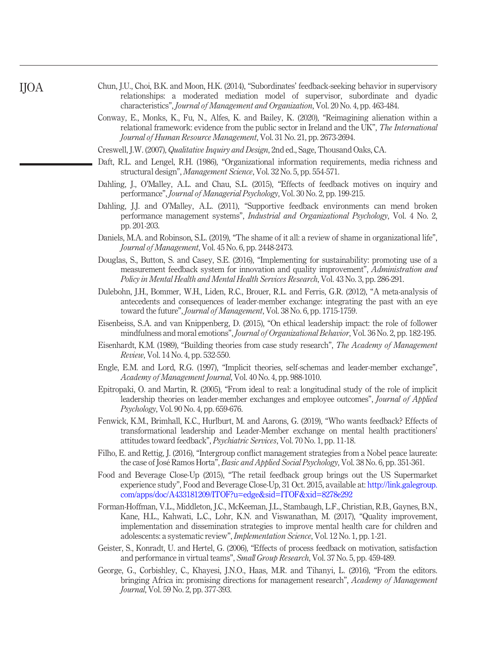<span id="page-21-1"></span>

| Chun, J.U., Choi, B.K. and Moon, H.K. (2014), "Subordinates' feedback-seeking behavior in supervisory |  |  |  |                                                                                               |  |
|-------------------------------------------------------------------------------------------------------|--|--|--|-----------------------------------------------------------------------------------------------|--|
|                                                                                                       |  |  |  | relationships: a moderated mediation model of supervisor, subordinate and dyadic              |  |
|                                                                                                       |  |  |  | characteristics", <i>Journal of Management and Organization</i> , Vol. 20 No. 4, pp. 463-484. |  |

- <span id="page-21-16"></span>Conway, E., Monks, K., Fu, N., Alfes, K. and Bailey, K. (2020), "Reimagining alienation within a relational framework: evidence from the public sector in Ireland and the UK", The International Journal of Human Resource Management, Vol. 31 No. 21, pp. 2673-2694.
- <span id="page-21-13"></span>Creswell, J.W. (2007), Qualitative Inquiry and Design, 2nd ed., Sage, Thousand Oaks, CA.
- <span id="page-21-2"></span>Daft, R.L. and Lengel, R.H. (1986), "Organizational information requirements, media richness and structural design", Management Science, Vol. 32 No. 5, pp. 554-571.
- <span id="page-21-9"></span>Dahling, J., O'Malley, A.L. and Chau, S.L. (2015), "Effects of feedback motives on inquiry and performance", Journal of Managerial Psychology, Vol. 30 No. 2, pp. 199-215.
- <span id="page-21-6"></span>Dahling, J.J. and O'Malley, A.L. (2011), "Supportive feedback environments can mend broken performance management systems", Industrial and Organizational Psychology, Vol. 4 No. 2, pp. 201-203.
- <span id="page-21-8"></span>Daniels, M.A. and Robinson, S.L. (2019), "The shame of it all: a review of shame in organizational life", Journal of Management, Vol. 45 No. 6, pp. 2448-2473.
- <span id="page-21-11"></span>Douglas, S., Button, S. and Casey, S.E. (2016), "Implementing for sustainability: promoting use of a measurement feedback system for innovation and quality improvement", Administration and Policy in Mental Health and Mental Health Services Research, Vol. 43 No. 3, pp. 286-291.
- <span id="page-21-4"></span>Dulebohn, J.H., Bommer, W.H., Liden, R.C., Brouer, R.L. and Ferris, G.R. (2012), "A meta-analysis of antecedents and consequences of leader-member exchange: integrating the past with an eye toward the future", Journal of Management, Vol. 38 No. 6, pp. 1715-1759.
- Eisenbeiss, S.A. and van Knippenberg, D. (2015), "On ethical leadership impact: the role of follower mindfulness and moral emotions", Journal of Organizational Behavior, Vol. 36 No. 2, pp. 182-195.
- <span id="page-21-14"></span>Eisenhardt, K.M. (1989), "Building theories from case study research", The Academy of Management Review, Vol. 14 No. 4, pp. 532-550.
- <span id="page-21-5"></span>Engle, E.M. and Lord, R.G. (1997), "Implicit theories, self-schemas and leader-member exchange", Academy of Management Journal, Vol. 40 No. 4, pp. 988-1010.
- <span id="page-21-3"></span>Epitropaki, O. and Martin, R. (2005), "From ideal to real: a longitudinal study of the role of implicit leadership theories on leader-member exchanges and employee outcomes", Journal of Applied Psychology, Vol. 90 No. 4, pp. 659-676.
- <span id="page-21-10"></span>Fenwick, K.M., Brimhall, K.C., Hurlburt, M. and Aarons, G. (2019), "Who wants feedback? Effects of transformational leadership and Leader-Member exchange on mental health practitioners' attitudes toward feedback", Psychiatric Services, Vol. 70 No. 1, pp. 11-18.
- <span id="page-21-15"></span>Filho, E. and Rettig, J. (2016), "Intergroup conflict management strategies from a Nobel peace laureate: the case of José Ramos Horta", Basic and Applied Social Psychology, Vol. 38 No. 6, pp. 351-361.
- <span id="page-21-12"></span>Food and Beverage Close-Up (2015), "The retail feedback group brings out the US Supermarket experience study", Food and Beverage Close-Up, 31 Oct. 2015, available at: [http://link.galegroup.](http://link.galegroup.com/apps/doc/A433181209/ITOF?u=edge&sid=ITOF&xid=8278e292) [com/apps/doc/A433181209/ITOF?u=edge&sid=ITOF&xid=8278e292](http://link.galegroup.com/apps/doc/A433181209/ITOF?u=edge&sid=ITOF&xid=8278e292)
- <span id="page-21-17"></span>Forman-Hoffman, V.L., Middleton, J.C., McKeeman, J.L., Stambaugh, L.F., Christian, R.B., Gaynes, B.N., Kane, H.L., Kahwati, L.C., Lohr, K.N. and Viswanathan, M. (2017), "Quality improvement, implementation and dissemination strategies to improve mental health care for children and adolescents: a systematic review", Implementation Science, Vol. 12 No. 1, pp. 1-21.
- <span id="page-21-7"></span>Geister, S., Konradt, U. and Hertel, G. (2006), "Effects of process feedback on motivation, satisfaction and performance in virtual teams", Small Group Research, Vol. 37 No. 5, pp. 459-489.
- <span id="page-21-0"></span>George, G., Corbishley, C., Khayesi, J.N.O., Haas, M.R. and Tihanyi, L. (2016), "From the editors. bringing Africa in: promising directions for management research", Academy of Management Journal, Vol. 59 No. 2, pp. 377-393.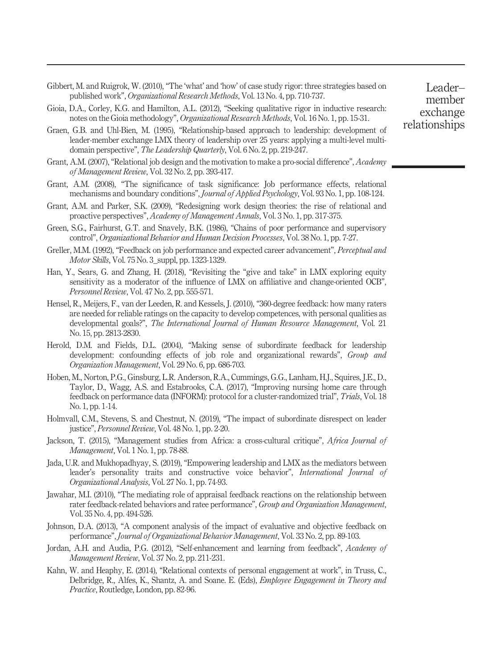- <span id="page-22-16"></span>Gibbert, M. and Ruigrok, W. (2010), "The 'what' and 'how' of case study rigor: three strategies based on published work", Organizational Research Methods, Vol. 13 No. 4, pp. 710-737.
- <span id="page-22-17"></span>Gioia, D.A., Corley, K.G. and Hamilton, A.L. (2012), "Seeking qualitative rigor in inductive research: notes on the Gioia methodology", Organizational Research Methods, Vol. 16 No. 1, pp. 15-31.
- <span id="page-22-13"></span>Graen, G.B. and Uhl-Bien, M. (1995), "Relationship-based approach to leadership: development of leader-member exchange LMX theory of leadership over 25 years: applying a multi-level multidomain perspective", The Leadership Quarterly, Vol. 6 No. 2, pp. 219-247.
- <span id="page-22-4"></span>Grant, A.M. (2007), "Relational job design and the motivation to make a pro-social difference", Academy of Management Review, Vol. 32 No. 2, pp. 393-417.
- <span id="page-22-6"></span>Grant, A.M. (2008), "The significance of task significance: Job performance effects, relational mechanisms and boundary conditions", *Journal of Applied Psychology*, Vol. 93 No. 1, pp. 108-124.
- <span id="page-22-2"></span>Grant, A.M. and Parker, S.K. (2009), "Redesigning work design theories: the rise of relational and proactive perspectives", Academy of Management Annals, Vol. 3 No. 1, pp. 317-375.
- <span id="page-22-14"></span>Green, S.G., Fairhurst, G.T. and Snavely, B.K. (1986), "Chains of poor performance and supervisory control", Organizational Behavior and Human Decision Processes, Vol. 38 No. 1, pp. 7-27.
- <span id="page-22-15"></span>Greller, M.M. (1992), "Feedback on job performance and expected career advancement", Perceptual and Motor Skills, Vol. 75 No. 3\_suppl, pp. 1323-1329.
- <span id="page-22-12"></span>Han, Y., Sears, G. and Zhang, H. (2018), "Revisiting the "give and take" in LMX exploring equity sensitivity as a moderator of the influence of LMX on affiliative and change-oriented OCB", Personnel Review, Vol. 47 No. 2, pp. 555-571.
- <span id="page-22-7"></span>Hensel, R., Meijers, F., van der Leeden, R. and Kessels, J. (2010), "360-degree feedback: how many raters are needed for reliable ratings on the capacity to develop competences, with personal qualities as developmental goals?", The International Journal of Human Resource Management, Vol. 21 No. 15, pp. 2813-2830.
- <span id="page-22-18"></span>Herold, D.M. and Fields, D.L. (2004), "Making sense of subordinate feedback for leadership development: confounding effects of job role and organizational rewards", Group and Organization Management, Vol. 29 No. 6, pp. 686-703.
- <span id="page-22-8"></span>Hoben, M., Norton, P.G., Ginsburg, L.R. Anderson, R.A., Cummings, G.G., Lanham, H.J., Squires, J.E., D., Taylor, D., Wagg, A.S. and Estabrooks, C.A. (2017), "Improving nursing home care through feedback on performance data (INFORM): protocol for a cluster-randomized trial", Trials, Vol. 18 No. 1, pp. 1-14.
- <span id="page-22-5"></span>Holmvall, C.M., Stevens, S. and Chestnut, N. (2019), "The impact of subordinate disrespect on leader justice", Personnel Review, Vol. 48 No. 1, pp. 2-20.
- <span id="page-22-0"></span>Jackson, T. (2015), "Management studies from Africa: a cross-cultural critique", Africa Journal of Management, Vol. 1 No. 1, pp. 78-88.
- <span id="page-22-1"></span>Jada, U.R. and Mukhopadhyay, S. (2019), "Empowering leadership and LMX as the mediators between leader's personality traits and constructive voice behavior", International Journal of Organizational Analysis, Vol. 27 No. 1, pp. 74-93.
- <span id="page-22-10"></span>Jawahar, M.I. (2010), "The mediating role of appraisal feedback reactions on the relationship between rater feedback-related behaviors and ratee performance", Group and Organization Management, Vol. 35 No. 4, pp. 494-526.
- <span id="page-22-9"></span>Johnson, D.A. (2013), "A component analysis of the impact of evaluative and objective feedback on performance", Journal of Organizational Behavior Management, Vol. 33 No. 2, pp. 89-103.
- <span id="page-22-11"></span>Jordan, A.H. and Audia, P.G. (2012), "Self-enhancement and learning from feedback", Academy of Management Review, Vol. 37 No. 2, pp. 211-231.
- <span id="page-22-3"></span>Kahn, W. and Heaphy, E. (2014), "Relational contexts of personal engagement at work", in Truss, C., Delbridge, R., Alfes, K., Shantz, A. and Soane. E. (Eds), Employee Engagement in Theory and Practice, Routledge, London, pp. 82-96.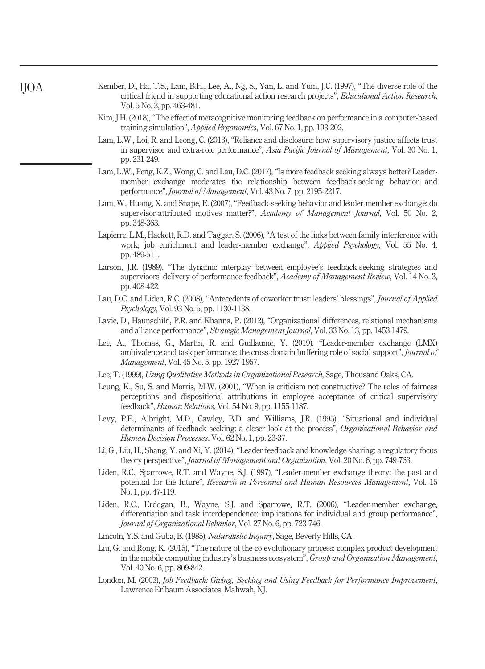- <span id="page-23-17"></span>Kember, D., Ha, T.S., Lam, B.H., Lee, A., Ng, S., Yan, L. and Yum, J.C. (1997), "The diverse role of the critical friend in supporting educational action research projects", Educational Action Research, Vol. 5 No. 3, pp. 463-481.
- <span id="page-23-5"></span>Kim, J.H. (2018), "The effect of metacognitive monitoring feedback on performance in a computer-based training simulation", *Applied Ergonomics*, Vol. 67 No. 1, pp. 193-202.
- <span id="page-23-11"></span>Lam, L.W., Loi, R. and Leong, C. (2013), "Reliance and disclosure: how supervisory justice affects trust in supervisor and extra-role performance", Asia Pacific Journal of Management, Vol. 30 No. 1, pp. 231-249.
- <span id="page-23-3"></span>Lam, L.W., Peng, K.Z., Wong, C. and Lau, D.C. (2017), "Is more feedback seeking always better? Leadermember exchange moderates the relationship between feedback-seeking behavior and performance", Journal of Management, Vol. 43 No. 7, pp. 2195-2217.
- <span id="page-23-2"></span>Lam, W., Huang, X. and Snape, E. (2007), "Feedback-seeking behavior and leader-member exchange: do supervisor-attributed motives matter?", Academy of Management Journal, Vol. 50 No. 2, pp. 348-363.
- <span id="page-23-8"></span>Lapierre, L.M., Hackett, R.D. and Taggar, S. (2006), "A test of the links between family interference with work, job enrichment and leader-member exchange", Applied Psychology, Vol. 55 No. 4, pp. 489-511.
- <span id="page-23-12"></span>Larson, J.R. (1989), "The dynamic interplay between employee's feedback-seeking strategies and supervisors' delivery of performance feedback", Academy of Management Review, Vol. 14 No. 3, pp. 408-422.
- <span id="page-23-13"></span>Lau, D.C. and Liden, R.C. (2008), "Antecedents of coworker trust: leaders' blessings", Journal of Applied Psychology, Vol. 93 No. 5, pp. 1130-1138.
- <span id="page-23-4"></span>Lavie, D., Haunschild, P.R. and Khanna, P. (2012), "Organizational differences, relational mechanisms and alliance performance", Strategic Management Journal, Vol. 33 No. 13, pp. 1453-1479.
- <span id="page-23-9"></span>Lee, A., Thomas, G., Martin, R. and Guillaume, Y. (2019), "Leader-member exchange (LMX) ambivalence and task performance: the cross-domain buffering role of social support", Journal of Management, Vol. 45 No. 5, pp. 1927-1957.
- <span id="page-23-14"></span>Lee, T. (1999), Using Qualitative Methods in Organizational Research, Sage, Thousand Oaks, CA.
- <span id="page-23-0"></span>Leung, K., Su, S. and Morris, M.W. (2001), "When is criticism not constructive? The roles of fairness perceptions and dispositional attributions in employee acceptance of critical supervisory feedback", Human Relations, Vol. 54 No. 9, pp. 1155-1187.
- <span id="page-23-10"></span>Levy, P.E., Albright, M.D., Cawley, B.D. and Williams, J.R. (1995), "Situational and individual determinants of feedback seeking: a closer look at the process", Organizational Behavior and Human Decision Processes, Vol. 62 No. 1, pp. 23-37.
- <span id="page-23-1"></span>Li, G., Liu, H., Shang, Y. and Xi, Y. (2014), "Leader feedback and knowledge sharing: a regulatory focus theory perspective", Journal of Management and Organization, Vol. 20 No. 6, pp. 749-763.
- <span id="page-23-7"></span>Liden, R.C., Sparrowe, R.T. and Wayne, S.J. (1997), "Leader-member exchange theory: the past and potential for the future", Research in Personnel and Human Resources Management, Vol. 15 No. 1, pp. 47-119.
- <span id="page-23-6"></span>Liden, R.C., Erdogan, B., Wayne, S.J. and Sparrowe, R.T. (2006), "Leader-member exchange, differentiation and task interdependence: implications for individual and group performance", Journal of Organizational Behavior, Vol. 27 No. 6, pp. 723-746.
- <span id="page-23-15"></span>Lincoln, Y.S. and Guba, E. (1985), Naturalistic Inquiry, Sage, Beverly Hills, CA.
- <span id="page-23-16"></span>Liu, G. and Rong, K. (2015), "The nature of the co-evolutionary process: complex product development in the mobile computing industry's business ecosystem", Group and Organization Management, Vol. 40 No. 6, pp. 809-842.
- <span id="page-23-18"></span>London, M. (2003), Job Feedback: Giving, Seeking and Using Feedback for Performance Improvement, Lawrence Erlbaum Associates, Mahwah, NJ.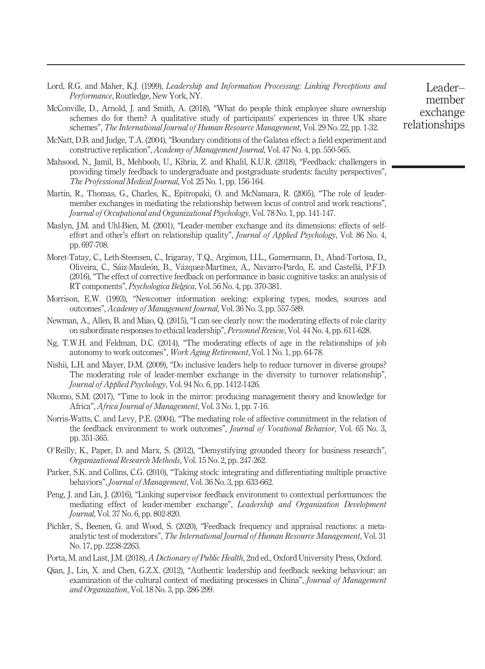- <span id="page-24-10"></span>Lord, R.G. and Maher, K.J. (1999), Leadership and Information Processing: Linking Perceptions and Performance, Routledge, New York, NY.
- <span id="page-24-18"></span>McConville, D., Arnold, J. and Smith, A. (2018), "What do people think employee share ownership schemes do for them? A qualitative study of participants' experiences in three UK share schemes", The International Journal of Human Resource Management, Vol. 29 No. 22, pp. 1-32.
- <span id="page-24-8"></span>McNatt, D.B. and Judge, T.A. (2004), "Boundary conditions of the Galatea effect: a field experiment and constructive replication", Academy of Management Journal, Vol. 47 No. 4, pp. 550-565.
- <span id="page-24-14"></span>Mahsood, N., Jamil, B., Mehboob, U., Kibria, Z. and Khalil, K.U.R. (2018), "Feedback: challengers in providing timely feedback to undergraduate and postgraduate students: faculty perspectives", The Professional Medical Journal, Vol. 25 No. 1, pp. 156-164.
- <span id="page-24-9"></span>Martin, R., Thomas, G., Charles, K., Epitropaki, O. and McNamara, R. (2005), "The role of leadermember exchanges in mediating the relationship between locus of control and work reactions", Journal of Occupational and Organizational Psychology, Vol. 78 No. 1, pp. 141-147.
- <span id="page-24-11"></span>Maslyn, J.M. and Uhl-Bien, M. (2001), "Leader-member exchange and its dimensions: effects of selfeffort and other's effort on relationship quality", Journal of Applied Psychology, Vol. 86 No. 4, pp. 697-708.
- <span id="page-24-5"></span>Moret-Tatay, C., Leth-Steensen, C., Irigaray, T.Q., Argimon, I.I.L., Gamermann, D., Abad-Tortosa, D., Oliveira, C., Sáiz-Mauleón, B., Vázquez-Martínez, A., Navarro-Pardo, E. and Castellá, P.F.D. (2016), "The effect of corrective feedback on performance in basic cognitive tasks: an analysis of RT components", Psychologica Belgica, Vol. 56 No. 4, pp. 370-381.
- <span id="page-24-1"></span>Morrison, E.W. (1993), "Newcomer information seeking: exploring types, modes, sources and outcomes", Academy of Management Journal, Vol. 36 No. 3, pp. 557-589.
- <span id="page-24-3"></span>Newman, A., Allen, B. and Miao, Q. (2015), "I can see clearly now: the moderating effects of role clarity on subordinate responses to ethical leadership", Personnel Review, Vol. 44 No. 4, pp. 611-628.
- <span id="page-24-16"></span>Ng, T.W.H. and Feldman, D.C. (2014), "The moderating effects of age in the relationships of job autonomy to work outcomes", Work Aging Retirement, Vol. 1 No. 1, pp. 64-78.
- <span id="page-24-7"></span>Nishii, L.H. and Mayer, D.M. (2009), "Do inclusive leaders help to reduce turnover in diverse groups? The moderating role of leader-member exchange in the diversity to turnover relationship", Journal of Applied Psychology, Vol. 94 No. 6, pp. 1412-1426.
- <span id="page-24-0"></span>Nkomo, S.M. (2017), "Time to look in the mirror: producing management theory and knowledge for Africa", Africa Journal of Management, Vol. 3 No. 1, pp. 7-16.
- <span id="page-24-12"></span>Norris-Watts, C. and Levy, P.E. (2004), "The mediating role of affective commitment in the relation of the feedback environment to work outcomes", Journal of Vocational Behavior, Vol. 65 No. 3, pp. 351-365.
- <span id="page-24-17"></span>O'Reilly, K., Paper, D. and Marx, S. (2012), "Demystifying grounded theory for business research", Organizational Research Methods, Vol. 15 No. 2, pp. 247-262.
- <span id="page-24-13"></span>Parker, S.K. and Collins, C.G. (2010), "Taking stock: integrating and differentiating multiple proactive behaviors", Journal of Management, Vol. 36 No. 3, pp. 633-662.
- <span id="page-24-2"></span>Peng, J. and Lin, J. (2016), "Linking supervisor feedback environment to contextual performances: the mediating effect of leader-member exchange", Leadership and Organization Development Journal, Vol. 37 No. 6, pp. 802-820.
- <span id="page-24-4"></span>Pichler, S., Beenen, G. and Wood, S. (2020), "Feedback frequency and appraisal reactions: a metaanalytic test of moderators", The International Journal of Human Resource Management, Vol. 31 No. 17, pp. 2238-2263.
- <span id="page-24-6"></span>Porta, M. and Last, J.M. (2018), A Dictionary of Public Health, 2nd ed., Oxford University Press, Oxford.
- <span id="page-24-15"></span>Qian, J., Lin, X. and Chen, G.Z.X. (2012), "Authentic leadership and feedback seeking behaviour: an examination of the cultural context of mediating processes in China", *Journal of Management* and Organization, Vol. 18 No. 3, pp. 286-299.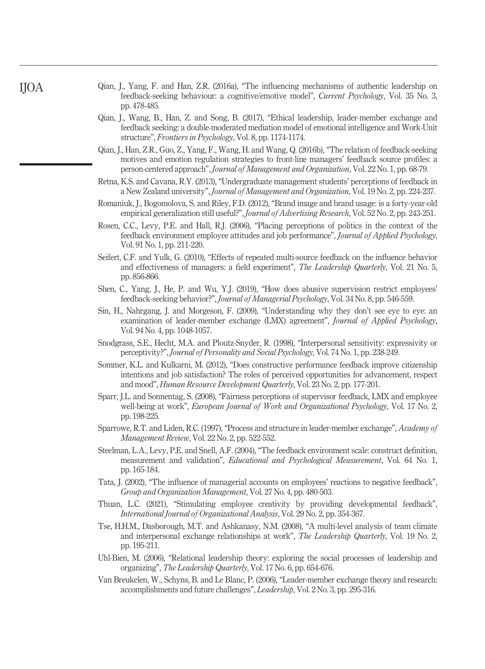- <span id="page-25-2"></span>Qian, J., Yang, F. and Han, Z.R. (2016a), "The influencing mechanisms of authentic leadership on feedback-seeking behaviour: a cognitive/emotive model", Current Psychology, Vol. 35 No. 3, pp. 478-485.
- <span id="page-25-16"></span>Qian, J., Wang, B., Han, Z. and Song, B. (2017), "Ethical leadership, leader-member exchange and feedback seeking: a double-moderated mediation model of emotional intelligence and Work-Unit structure", Frontiers in Psychology, Vol. 8, pp. 1174-1174.
- <span id="page-25-3"></span>Qian, J., Han, Z.R., Guo, Z., Yang, F., Wang, H. and Wang, Q. (2016b), "The relation of feedback-seeking motives and emotion regulation strategies to front-line managers' feedback source profiles: a person-centered approach", Journal of Management and Organization, Vol. 22 No. 1, pp. 68-79.
- <span id="page-25-4"></span>Retna, K.S. and Cavana, R.Y. (2013), "Undergraduate management students' perceptions of feedback in a New Zealand university", Journal of Management and Organization, Vol. 19 No. 2, pp. 224-237.
- <span id="page-25-18"></span>Romaniuk, J., Bogomolova, S. and Riley, F.D. (2012), "Brand image and brand usage: is a forty-year-old empirical generalization still useful?", *Journal of Advertising Research*, Vol. 52 No. 2, pp. 243-251.
- <span id="page-25-11"></span>Rosen, C.C., Levy, P.E. and Hall, R.J. (2006), "Placing perceptions of politics in the context of the feedback environment employee attitudes and job performance", *Journal of Applied Psychology*, Vol. 91 No. 1, pp. 211-220.
- <span id="page-25-13"></span>Seifert, C.F. and Yulk, G. (2010), "Effects of repeated multi-source feedback on the influence behavior and effectiveness of managers: a field experiment", The Leadership Quarterly, Vol. 21 No. 5, pp. 856-866.
- <span id="page-25-15"></span>Shen, C., Yang, J., He, P. and Wu, Y.J. (2019), "How does abusive supervision restrict employees' feedback-seeking behavior?", Journal of Managerial Psychology, Vol. 34 No. 8, pp. 546-559.
- <span id="page-25-10"></span>Sin, H., Nahrgang, J. and Morgeson, F. (2009), "Understanding why they don't see eye to eye: an examination of leader-member exchange (LMX) agreement", *Journal of Applied Psychology*, Vol. 94 No. 4, pp. 1048-1057.
- <span id="page-25-9"></span>Snodgrass, S.E., Hecht, M.A. and Ploutz-Snyder, R. (1998), "Interpersonal sensitivity: expressivity or perceptivity?", Journal of Personality and Social Psychology, Vol. 74 No. 1, pp. 238-249.
- <span id="page-25-7"></span>Sommer, K.L. and Kulkarni, M. (2012), "Does constructive performance feedback improve citizenship intentions and job satisfaction? The roles of perceived opportunities for advancement, respect and mood", Human Resource Development Quarterly, Vol. 23 No. 2, pp. 177-201.
- <span id="page-25-0"></span>Sparr, J.L. and Sonnentag, S. (2008), "Fairness perceptions of supervisor feedback, LMX and employee well-being at work", *European Journal of Work and Organizational Psychology*, Vol. 17 No. 2, pp. 198-225.
- <span id="page-25-17"></span>Sparrowe, R.T. and Liden, R.C. (1997), "Process and structure in leader-member exchange", Academy of Management Review, Vol. 22 No. 2, pp. 522-552.
- <span id="page-25-14"></span>Steelman, L.A., Levy, P.E. and Snell, A.F. (2004), "The feedback environment scale: construct definition, measurement and validation", Educational and Psychological Measurement, Vol. 64 No. 1, pp. 165-184.
- <span id="page-25-5"></span>Tata, J. (2002), "The influence of managerial accounts on employees' reactions to negative feedback", Group and Organization Management, Vol. 27 No. 4, pp. 480-503.
- <span id="page-25-1"></span>Thuan, L.C. (2021), "Stimulating employee creativity by providing developmental feedback", International Journal of Organizational Analysis, Vol. 29 No. 2, pp. 354-367.
- <span id="page-25-12"></span>Tse, H.H.M., Dasborough, M.T. and Ashkanasy, N.M. (2008), "A multi-level analysis of team climate and interpersonal exchange relationships at work", The Leadership Quarterly, Vol. 19 No. 2, pp. 195-211.
- <span id="page-25-8"></span>Uhl-Bien, M. (2006), "Relational leadership theory: exploring the social processes of leadership and organizing", The Leadership Quarterly, Vol. 17 No. 6, pp. 654-676.
- <span id="page-25-6"></span>Van Breukelen, W., Schyns, B. and Le Blanc, P. (2006), "Leader-member exchange theory and research: accomplishments and future challenges", Leadership, Vol. 2 No. 3, pp. 295-316.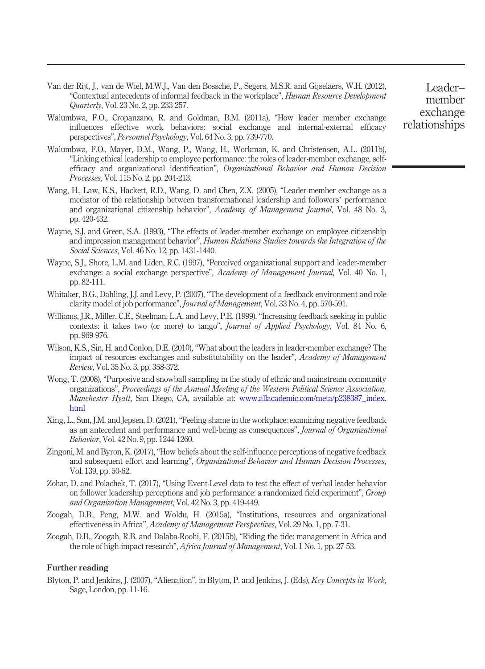- <span id="page-26-13"></span>Van der Rijt, J., van de Wiel, M.W.J., Van den Bossche, P., Segers, M.S.R. and Gijselaers, W.H. (2012), "Contextual antecedents of informal feedback in the workplace", Human Resource Development Quarterly, Vol. 23 No. 2, pp. 233-257.
- <span id="page-26-8"></span>Walumbwa, F.O., Cropanzano, R. and Goldman, B.M. (2011a), "How leader member exchange influences effective work behaviors: social exchange and internal-external efficacy perspectives", Personnel Psychology, Vol. 64 No. 3, pp. 739-770.
- Walumbwa, F.O., Mayer, D.M., Wang, P., Wang, H., Workman, K. and Christensen, A.L. (2011b), "Linking ethical leadership to employee performance: the roles of leader-member exchange, selfefficacy and organizational identification", Organizational Behavior and Human Decision Processes, Vol. 115 No. 2, pp. 204-213.
- <span id="page-26-9"></span>Wang, H., Law, K.S., Hackett, R.D., Wang, D. and Chen, Z.X. (2005), "Leader-member exchange as a mediator of the relationship between transformational leadership and followers' performance and organizational citizenship behavior", Academy of Management Journal, Vol. 48 No. 3, pp. 420-432.
- <span id="page-26-6"></span>Wayne, S.J. and Green, S.A. (1993), "The effects of leader-member exchange on employee citizenship and impression management behavior", Human Relations Studies towards the Integration of the Social Sciences, Vol. 46 No. 12, pp. 1431-1440.
- <span id="page-26-3"></span>Wayne, S.J., Shore, L.M. and Liden, R.C. (1997), "Perceived organizational support and leader-member exchange: a social exchange perspective", Academy of Management Journal, Vol. 40 No. 1, pp. 82-111.
- <span id="page-26-4"></span>Whitaker, B.G., Dahling, J.J. and Levy, P. (2007), "The development of a feedback environment and role clarity model of job performance", Journal of Management, Vol. 33 No. 4, pp. 570-591.
- <span id="page-26-10"></span>Williams, J.R., Miller, C.E., Steelman, L.A. and Levy, P.E. (1999), "Increasing feedback seeking in public contexts: it takes two (or more) to tango", Journal of Applied Psychology, Vol. 84 No. 6, pp. 969-976.
- <span id="page-26-5"></span>Wilson, K.S., Sin, H. and Conlon, D.E. (2010), "What about the leaders in leader-member exchange? The impact of resources exchanges and substitutability on the leader", Academy of Management Review, Vol. 35 No. 3, pp. 358-372.
- <span id="page-26-11"></span>Wong, T. (2008), "Purposive and snowball sampling in the study of ethnic and mainstream community organizations", Proceedings of the Annual Meeting of the Western Political Science Association, Manchester Hyatt, San Diego, CA, available at: [www.allacademic.com/meta/p238387\\_index.](http://www.allacademic.com/meta/p238387_index.html) [html](http://www.allacademic.com/meta/p238387_index.html)
- <span id="page-26-7"></span>Xing, L., Sun, J.M. and Jepsen, D. (2021), "Feeling shame in the workplace: examining negative feedback as an antecedent and performance and well-being as consequences", Journal of Organizational Behavior, Vol. 42 No. 9, pp. 1244-1260.
- <span id="page-26-2"></span>Zingoni, M. and Byron, K. (2017), "How beliefs about the self-influence perceptions of negative feedback and subsequent effort and learning", Organizational Behavior and Human Decision Processes, Vol. 139, pp. 50-62.
- <span id="page-26-12"></span>Zohar, D. and Polachek, T. (2017), "Using Event-Level data to test the effect of verbal leader behavior on follower leadership perceptions and job performance: a randomized field experiment", Group and Organization Management, Vol. 42 No. 3, pp. 419-449.
- <span id="page-26-0"></span>Zoogah, D.B., Peng, M.W. and Woldu, H. (2015a), "Institutions, resources and organizational effectiveness in Africa", Academy of Management Perspectives, Vol. 29 No. 1, pp. 7-31.
- <span id="page-26-1"></span>Zoogah, D.B., Zoogah, R.B. and Dalaba-Roohi, F. (2015b), "Riding the tide: management in Africa and the role of high-impact research", Africa Journal of Management, Vol. 1 No. 1, pp. 27-53.

#### Further reading

Blyton, P. and Jenkins, J. (2007), "Alienation", in Blyton, P. and Jenkins, J. (Eds), Key Concepts in Work, Sage, London, pp. 11-16.